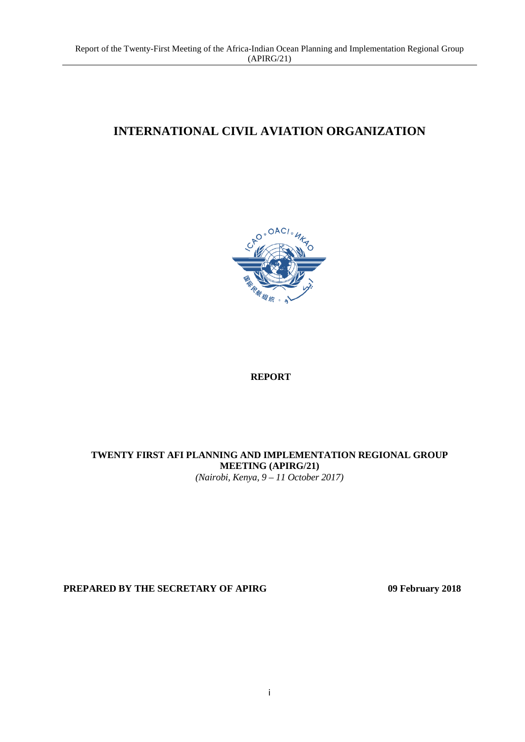# **INTERNATIONAL CIVIL AVIATION ORGANIZATION**



### **REPORT**

# **TWENTY FIRST AFI PLANNING AND IMPLEMENTATION REGIONAL GROUP MEETING (APIRG/21)**

*(Nairobi, Kenya, 9 – 11 October 2017)*

**PREPARED BY THE SECRETARY OF APIRG 09 February 2018**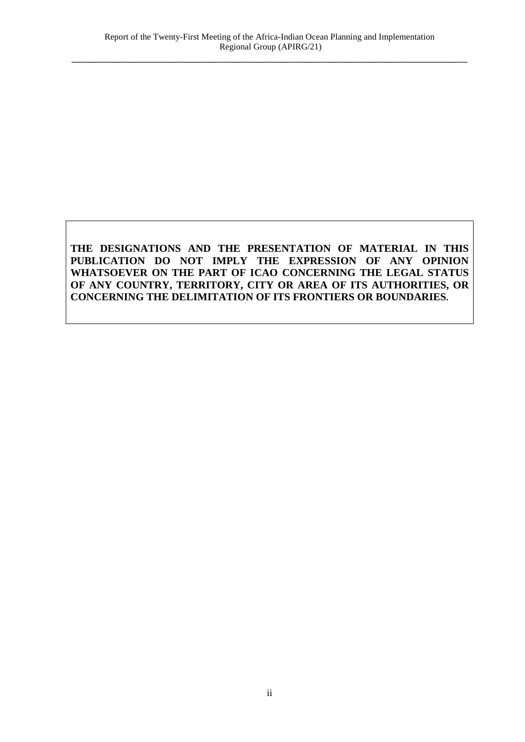# **THE DESIGNATIONS AND THE PRESENTATION OF MATERIAL IN THIS PUBLICATION DO NOT IMPLY THE EXPRESSION OF ANY OPINION WHATSOEVER ON THE PART OF ICAO CONCERNING THE LEGAL STATUS OF ANY COUNTRY, TERRITORY, CITY OR AREA OF ITS AUTHORITIES, OR CONCERNING THE DELIMITATION OF ITS FRONTIERS OR BOUNDARIES.**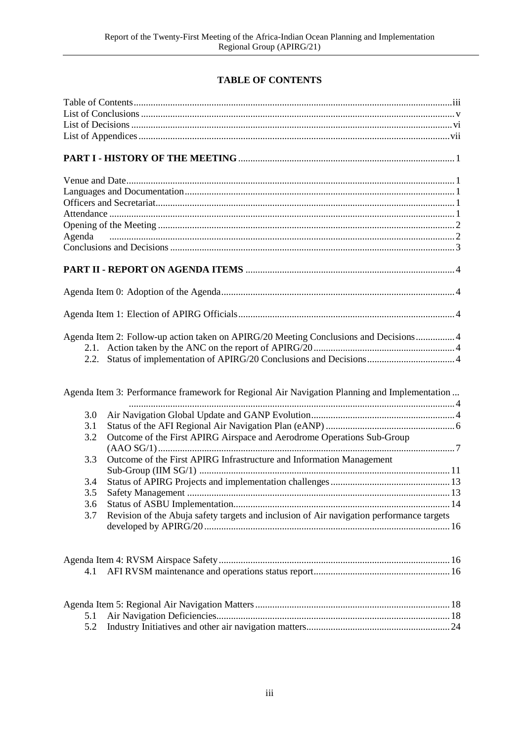# **TABLE OF CONTENTS**

<span id="page-2-0"></span>

| 2.2. | Agenda Item 2: Follow-up action taken on APIRG/20 Meeting Conclusions and Decisions 4        |  |
|------|----------------------------------------------------------------------------------------------|--|
|      | Agenda Item 3: Performance framework for Regional Air Navigation Planning and Implementation |  |
| 3.0  |                                                                                              |  |
| 3.1  |                                                                                              |  |
| 3.2  | Outcome of the First APIRG Airspace and Aerodrome Operations Sub-Group                       |  |
|      |                                                                                              |  |
| 3.3  | Outcome of the First APIRG Infrastructure and Information Management                         |  |
|      |                                                                                              |  |
| 3.4  |                                                                                              |  |
| 3.5  |                                                                                              |  |
| 3.6  |                                                                                              |  |
| 3.7  | Revision of the Abuja safety targets and inclusion of Air navigation performance targets     |  |
|      |                                                                                              |  |
|      |                                                                                              |  |
| 4.1  |                                                                                              |  |
|      |                                                                                              |  |
|      |                                                                                              |  |
| 5.1  |                                                                                              |  |
| 5.2  |                                                                                              |  |
|      |                                                                                              |  |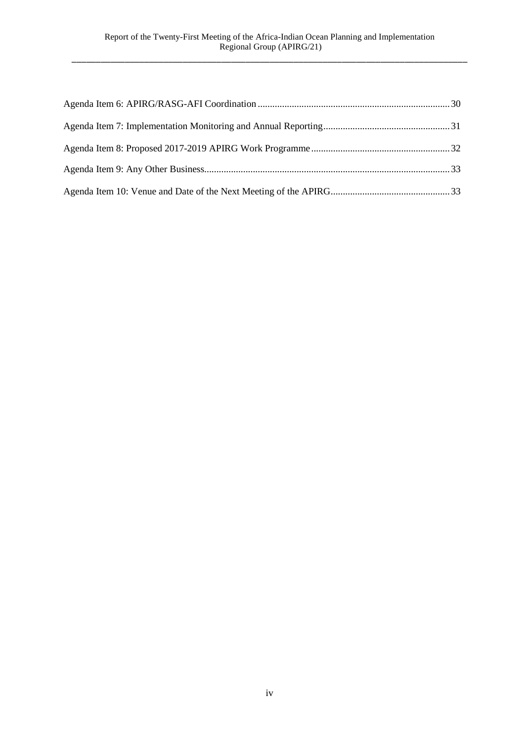<span id="page-3-0"></span>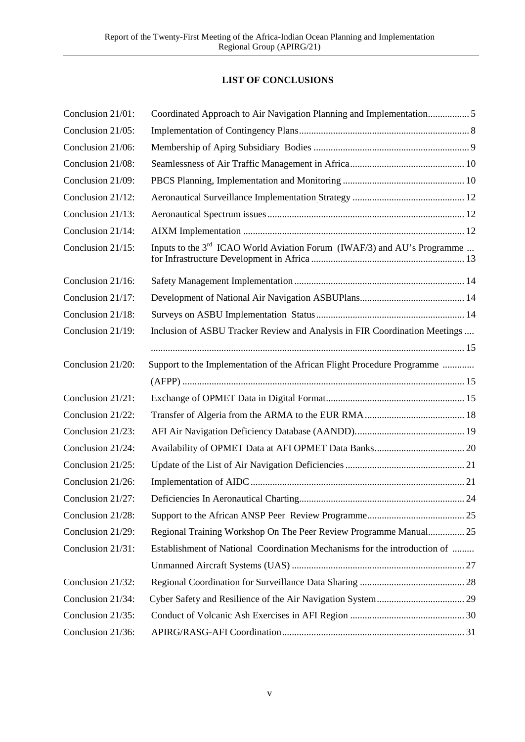# **LIST OF CONCLUSIONS**

<span id="page-4-0"></span>

| Conclusion 21/01: | Coordinated Approach to Air Navigation Planning and Implementation 5                |  |
|-------------------|-------------------------------------------------------------------------------------|--|
| Conclusion 21/05: |                                                                                     |  |
| Conclusion 21/06: |                                                                                     |  |
| Conclusion 21/08: |                                                                                     |  |
| Conclusion 21/09: |                                                                                     |  |
| Conclusion 21/12: |                                                                                     |  |
| Conclusion 21/13: |                                                                                     |  |
| Conclusion 21/14: |                                                                                     |  |
| Conclusion 21/15: | Inputs to the 3 <sup>rd</sup> ICAO World Aviation Forum (IWAF/3) and AU's Programme |  |
| Conclusion 21/16: |                                                                                     |  |
| Conclusion 21/17: |                                                                                     |  |
| Conclusion 21/18: |                                                                                     |  |
| Conclusion 21/19: | Inclusion of ASBU Tracker Review and Analysis in FIR Coordination Meetings          |  |
|                   |                                                                                     |  |
| Conclusion 21/20: | Support to the Implementation of the African Flight Procedure Programme             |  |
|                   |                                                                                     |  |
| Conclusion 21/21: |                                                                                     |  |
| Conclusion 21/22: |                                                                                     |  |
| Conclusion 21/23: |                                                                                     |  |
| Conclusion 21/24: |                                                                                     |  |
| Conclusion 21/25: |                                                                                     |  |
| Conclusion 21/26: |                                                                                     |  |
| Conclusion 21/27: |                                                                                     |  |
| Conclusion 21/28: |                                                                                     |  |
| Conclusion 21/29: | Regional Training Workshop On The Peer Review Programme Manual 25                   |  |
| Conclusion 21/31: | Establishment of National Coordination Mechanisms for the introduction of           |  |
|                   |                                                                                     |  |
| Conclusion 21/32: |                                                                                     |  |
| Conclusion 21/34: |                                                                                     |  |
| Conclusion 21/35: |                                                                                     |  |
| Conclusion 21/36: |                                                                                     |  |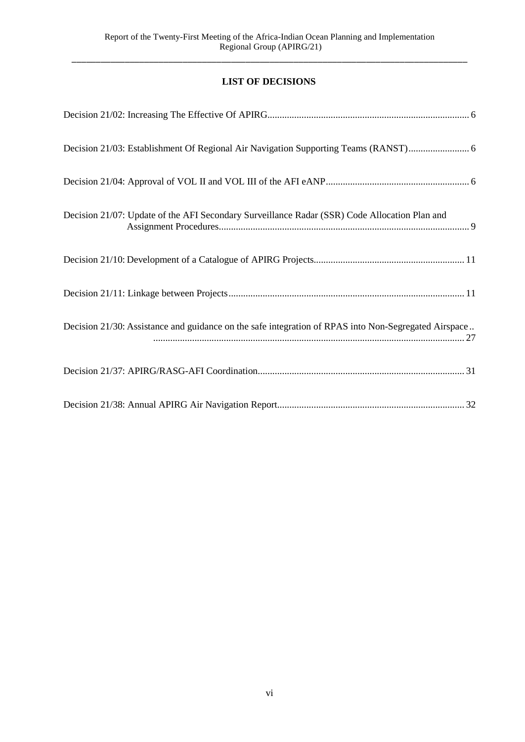# **LIST OF DECISIONS**

<span id="page-5-0"></span>

| Decision 21/07: Update of the AFI Secondary Surveillance Radar (SSR) Code Allocation Plan and        |
|------------------------------------------------------------------------------------------------------|
|                                                                                                      |
|                                                                                                      |
| Decision 21/30: Assistance and guidance on the safe integration of RPAS into Non-Segregated Airspace |
|                                                                                                      |
|                                                                                                      |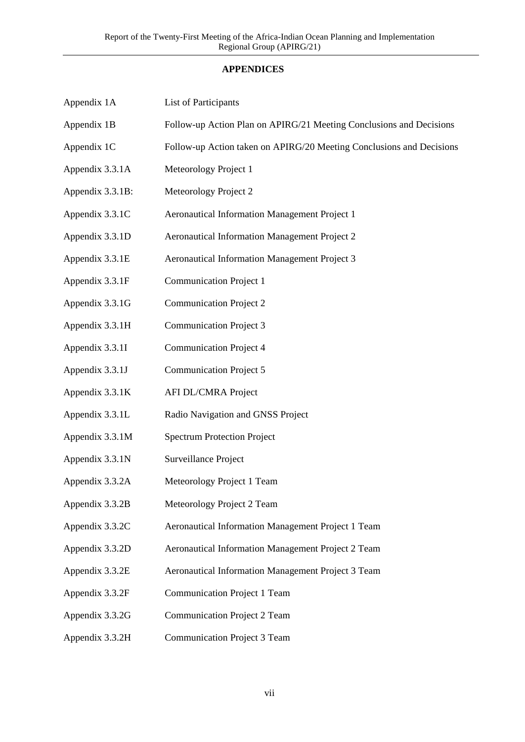# **APPENDICES**

| Appendix 1A      | List of Participants                                                 |
|------------------|----------------------------------------------------------------------|
| Appendix 1B      | Follow-up Action Plan on APIRG/21 Meeting Conclusions and Decisions  |
| Appendix 1C      | Follow-up Action taken on APIRG/20 Meeting Conclusions and Decisions |
| Appendix 3.3.1A  | Meteorology Project 1                                                |
| Appendix 3.3.1B: | Meteorology Project 2                                                |
| Appendix 3.3.1C  | Aeronautical Information Management Project 1                        |
| Appendix 3.3.1D  | Aeronautical Information Management Project 2                        |
| Appendix 3.3.1E  | Aeronautical Information Management Project 3                        |
| Appendix 3.3.1F  | <b>Communication Project 1</b>                                       |
| Appendix 3.3.1G  | <b>Communication Project 2</b>                                       |
| Appendix 3.3.1H  | <b>Communication Project 3</b>                                       |
| Appendix 3.3.1I  | <b>Communication Project 4</b>                                       |
| Appendix 3.3.1J  | <b>Communication Project 5</b>                                       |
| Appendix 3.3.1K  | AFI DL/CMRA Project                                                  |
| Appendix 3.3.1L  | Radio Navigation and GNSS Project                                    |
| Appendix 3.3.1M  | <b>Spectrum Protection Project</b>                                   |
| Appendix 3.3.1N  | Surveillance Project                                                 |
| Appendix 3.3.2A  | Meteorology Project 1 Team                                           |
| Appendix 3.3.2B  | Meteorology Project 2 Team                                           |
| Appendix 3.3.2C  | Aeronautical Information Management Project 1 Team                   |
| Appendix 3.3.2D  | Aeronautical Information Management Project 2 Team                   |
| Appendix 3.3.2E  | Aeronautical Information Management Project 3 Team                   |
| Appendix 3.3.2F  | <b>Communication Project 1 Team</b>                                  |
| Appendix 3.3.2G  | <b>Communication Project 2 Team</b>                                  |
| Appendix 3.3.2H  | Communication Project 3 Team                                         |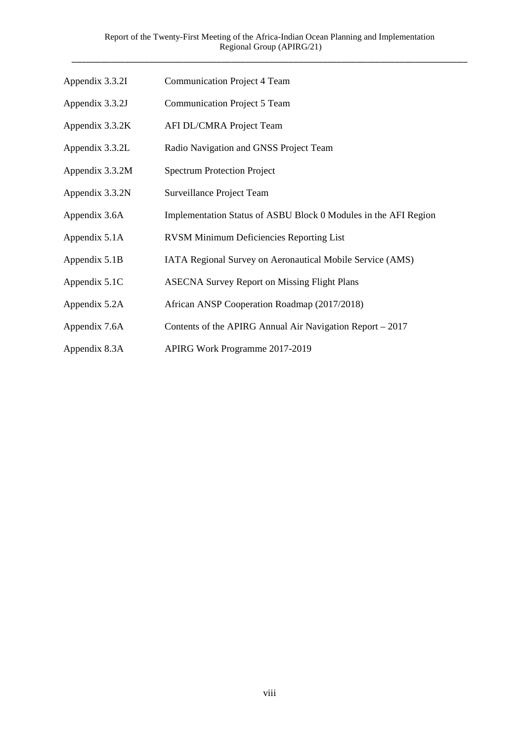| Appendix 3.3.2I | <b>Communication Project 4 Team</b>                             |
|-----------------|-----------------------------------------------------------------|
| Appendix 3.3.2J | <b>Communication Project 5 Team</b>                             |
| Appendix 3.3.2K | AFI DL/CMRA Project Team                                        |
| Appendix 3.3.2L | Radio Navigation and GNSS Project Team                          |
| Appendix 3.3.2M | <b>Spectrum Protection Project</b>                              |
| Appendix 3.3.2N | Surveillance Project Team                                       |
| Appendix 3.6A   | Implementation Status of ASBU Block 0 Modules in the AFI Region |
| Appendix 5.1A   | <b>RVSM Minimum Deficiencies Reporting List</b>                 |
| Appendix 5.1B   | IATA Regional Survey on Aeronautical Mobile Service (AMS)       |
| Appendix 5.1C   | <b>ASECNA Survey Report on Missing Flight Plans</b>             |
| Appendix 5.2A   | African ANSP Cooperation Roadmap (2017/2018)                    |
| Appendix 7.6A   | Contents of the APIRG Annual Air Navigation Report – 2017       |
| Appendix 8.3A   | APIRG Work Programme 2017-2019                                  |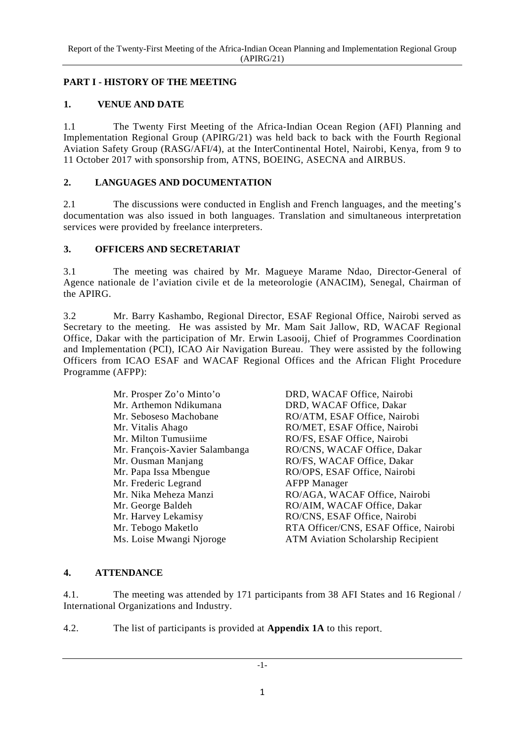# <span id="page-8-0"></span>**PART I - HISTORY OF THE MEETING**

# <span id="page-8-1"></span>**1. VENUE AND DATE**

1.1 The Twenty First Meeting of the Africa-Indian Ocean Region (AFI) Planning and Implementation Regional Group (APIRG/21) was held back to back with the Fourth Regional Aviation Safety Group (RASG/AFI/4), at the InterContinental Hotel, Nairobi, Kenya, from 9 to 11 October 2017 with sponsorship from, ATNS, BOEING, ASECNA and AIRBUS.

# <span id="page-8-2"></span>**2. LANGUAGES AND DOCUMENTATION**

2.1 The discussions were conducted in English and French languages, and the meeting's documentation was also issued in both languages. Translation and simultaneous interpretation services were provided by freelance interpreters.

### <span id="page-8-3"></span>**3. OFFICERS AND SECRETARIAT**

3.1 The meeting was chaired by Mr. Magueye Marame Ndao, Director-General of Agence nationale de l'aviation civile et de la meteorologie (ANACIM), Senegal, Chairman of the APIRG.

3.2 Mr. Barry Kashambo, Regional Director, ESAF Regional Office, Nairobi served as Secretary to the meeting. He was assisted by Mr. Mam Sait Jallow, RD, WACAF Regional Office, Dakar with the participation of Mr. Erwin Lasooij, Chief of Programmes Coordination and Implementation (PCI), ICAO Air Navigation Bureau. They were assisted by the following Officers from ICAO ESAF and WACAF Regional Offices and the African Flight Procedure Programme (AFPP):

| Mr. Prosper Zo'o Minto'o       | DRD, WACAF          |
|--------------------------------|---------------------|
| Mr. Arthemon Ndikumana         | DRD, WACAF          |
| Mr. Seboseso Machobane         | RO/ATM, ESA         |
| Mr. Vitalis Ahago              | RO/MET, ESA         |
| Mr. Milton Tumusiime           | RO/FS, ESAF         |
| Mr. François-Xavier Salambanga | RO/CNS, WAC         |
| Mr. Ousman Manjang             | RO/FS, WACA         |
| Mr. Papa Issa Mbengue          | RO/OPS, ESAI        |
| Mr. Frederic Legrand           | <b>AFPP</b> Manager |
| Mr. Nika Meheza Manzi          | RO/AGA, WA          |
| Mr. George Baldeh              | RO/AIM, WAC         |
| Mr. Harvey Lekamisy            | RO/CNS, ESAI        |
| Mr. Tebogo Maketlo             | RTA Officer/C       |
| Ms. Loise Mwangi Njoroge       | <b>ATM Aviation</b> |

ACAF Office, Nairobi ACAF Office, Dakar 1, ESAF Office, Nairobi **F. ESAF Office, Nairobi** ESAF Office, Nairobi , WACAF Office, Dakar WACAF Office, Dakar ESAF Office, Nairobi L. WACAF Office, Nairobi , WACAF Office, Dakar , ESAF Office, Nairobi icer/CNS, ESAF Office, Nairobi Njoroge ATM Aviation Scholarship Recipient

### <span id="page-8-4"></span>**4. ATTENDANCE**

4.1. The meeting was attended by 171 participants from 38 AFI States and 16 Regional / International Organizations and Industry.

4.2. The list of participants is provided at **Appendix 1A** to this report.

-1-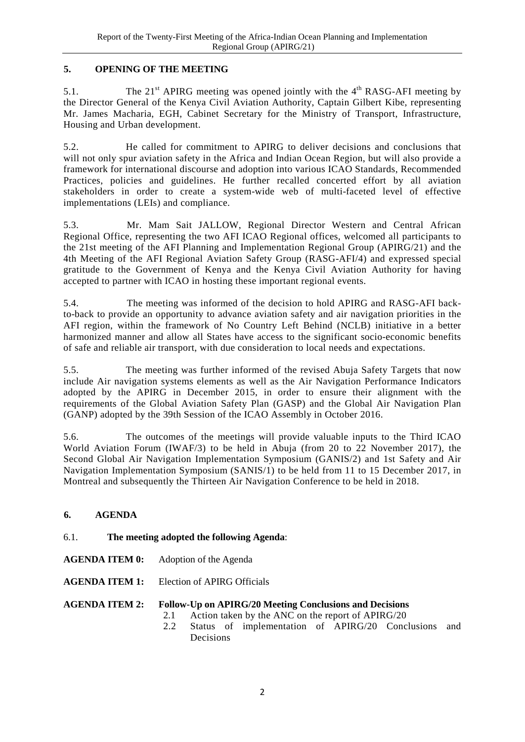# <span id="page-9-0"></span>**5. OPENING OF THE MEETING**

5.1. The  $21<sup>st</sup>$  APIRG meeting was opened jointly with the  $4<sup>th</sup>$  RASG-AFI meeting by the Director General of the Kenya Civil Aviation Authority, Captain Gilbert Kibe, representing Mr. James Macharia, EGH, Cabinet Secretary for the Ministry of Transport, Infrastructure, Housing and Urban development.

5.2. He called for commitment to APIRG to deliver decisions and conclusions that will not only spur aviation safety in the Africa and Indian Ocean Region, but will also provide a framework for international discourse and adoption into various ICAO Standards, Recommended Practices, policies and guidelines. He further recalled concerted effort by all aviation stakeholders in order to create a system-wide web of multi-faceted level of effective implementations (LEIs) and compliance.

5.3. Mr. Mam Sait JALLOW, Regional Director Western and Central African Regional Office, representing the two AFI ICAO Regional offices, welcomed all participants to the 21st meeting of the AFI Planning and Implementation Regional Group (APIRG/21) and the 4th Meeting of the AFI Regional Aviation Safety Group (RASG-AFI/4) and expressed special gratitude to the Government of Kenya and the Kenya Civil Aviation Authority for having accepted to partner with ICAO in hosting these important regional events.

5.4. The meeting was informed of the decision to hold APIRG and RASG-AFI backto-back to provide an opportunity to advance aviation safety and air navigation priorities in the AFI region, within the framework of No Country Left Behind (NCLB) initiative in a better harmonized manner and allow all States have access to the significant socio-economic benefits of safe and reliable air transport, with due consideration to local needs and expectations.

5.5. The meeting was further informed of the revised Abuja Safety Targets that now include Air navigation systems elements as well as the Air Navigation Performance Indicators adopted by the APIRG in December 2015, in order to ensure their alignment with the requirements of the Global Aviation Safety Plan (GASP) and the Global Air Navigation Plan (GANP) adopted by the 39th Session of the ICAO Assembly in October 2016.

5.6. The outcomes of the meetings will provide valuable inputs to the Third ICAO World Aviation Forum (IWAF/3) to be held in Abuja (from 20 to 22 November 2017), the Second Global Air Navigation Implementation Symposium (GANIS/2) and 1st Safety and Air Navigation Implementation Symposium (SANIS/1) to be held from 11 to 15 December 2017, in Montreal and subsequently the Thirteen Air Navigation Conference to be held in 2018.

### <span id="page-9-1"></span>**6. AGENDA**

### 6.1. **The meeting adopted the following Agenda**:

**AGENDA ITEM 0:** Adoption of the Agenda

**AGENDA ITEM 1:** Election of APIRG Officials

# **AGENDA ITEM 2: Follow-Up on APIRG/20 Meeting Conclusions and Decisions**

- 2.1 Action taken by the ANC on the report of APIRG/20
- 2.2 Status of implementation of APIRG/20 Conclusions and Decisions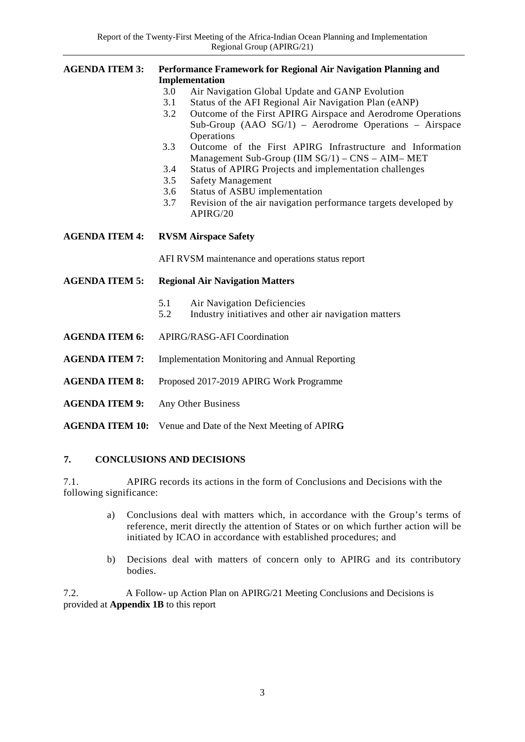| <b>AGENDA ITEM 3:</b> | Performance Framework for Regional Air Navigation Planning and<br>Implementation |                                                                                                                                      |  |  |  |
|-----------------------|----------------------------------------------------------------------------------|--------------------------------------------------------------------------------------------------------------------------------------|--|--|--|
|                       | Air Navigation Global Update and GANP Evolution<br>3.0                           |                                                                                                                                      |  |  |  |
|                       | 3.1                                                                              | Status of the AFI Regional Air Navigation Plan (eANP)                                                                                |  |  |  |
|                       | 3.2                                                                              | Outcome of the First APIRG Airspace and Aerodrome Operations<br>Sub-Group (AAO SG/1) – Aerodrome Operations – Airspace<br>Operations |  |  |  |
|                       | 3.3                                                                              | Outcome of the First APIRG Infrastructure and Information<br>Management Sub-Group (IIM SG/1) – CNS – AIM– MET                        |  |  |  |
|                       | 3.4                                                                              | Status of APIRG Projects and implementation challenges                                                                               |  |  |  |
|                       | 3.5                                                                              | <b>Safety Management</b>                                                                                                             |  |  |  |
|                       | 3.6                                                                              | Status of ASBU implementation                                                                                                        |  |  |  |
|                       | 3.7                                                                              | Revision of the air navigation performance targets developed by<br>APIRG/20                                                          |  |  |  |
| <b>AGENDA ITEM 4:</b> | <b>RVSM Airspace Safety</b>                                                      |                                                                                                                                      |  |  |  |
|                       | AFI RVSM maintenance and operations status report                                |                                                                                                                                      |  |  |  |
| <b>AGENDA ITEM 5:</b> | <b>Regional Air Navigation Matters</b>                                           |                                                                                                                                      |  |  |  |
|                       | 5.1<br>5.2                                                                       | Air Navigation Deficiencies<br>Industry initiatives and other air navigation matters                                                 |  |  |  |
| <b>AGENDA ITEM 6:</b> | <b>APIRG/RASG-AFI Coordination</b>                                               |                                                                                                                                      |  |  |  |
| <b>AGENDA ITEM 7:</b> | <b>Implementation Monitoring and Annual Reporting</b>                            |                                                                                                                                      |  |  |  |
| <b>AGENDA ITEM 8:</b> | Proposed 2017-2019 APIRG Work Programme                                          |                                                                                                                                      |  |  |  |
| <b>AGENDA ITEM 9:</b> | Any Other Business                                                               |                                                                                                                                      |  |  |  |
|                       |                                                                                  |                                                                                                                                      |  |  |  |

#### <span id="page-10-0"></span>**7. CONCLUSIONS AND DECISIONS**

**AGENDA ITEM 10:** Venue and Date of the Next Meeting of APIR**G**

7.1. APIRG records its actions in the form of Conclusions and Decisions with the following significance:

- a) Conclusions deal with matters which, in accordance with the Group's terms of reference, merit directly the attention of States or on which further action will be initiated by ICAO in accordance with established procedures; and
- b) Decisions deal with matters of concern only to APIRG and its contributory bodies.

7.2. A Follow- up Action Plan on APIRG/21 Meeting Conclusions and Decisions is provided at **Appendix 1B** to this report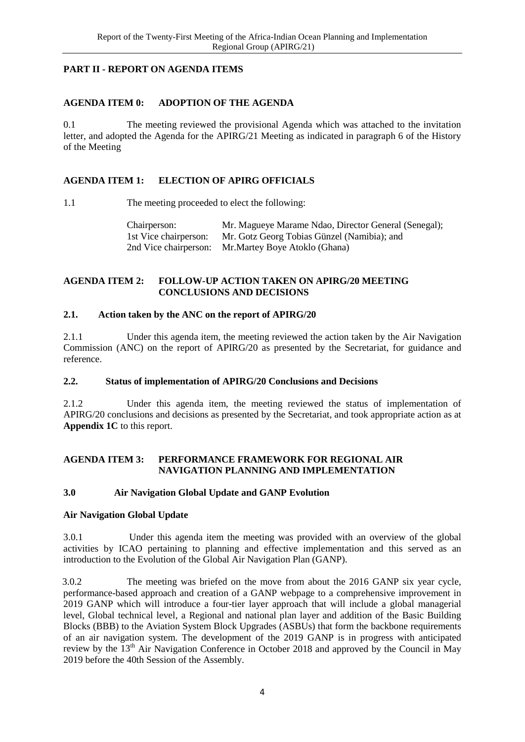# <span id="page-11-0"></span>**PART II - REPORT ON AGENDA ITEMS**

### <span id="page-11-1"></span>**AGENDA ITEM 0: ADOPTION OF THE AGENDA**

0.1 The meeting reviewed the provisional Agenda which was attached to the invitation letter, and adopted the Agenda for the APIRG/21 Meeting as indicated in paragraph 6 of the History of the Meeting

#### <span id="page-11-2"></span>**AGENDA ITEM 1: ELECTION OF APIRG OFFICIALS**

1.1 The meeting proceeded to elect the following:

Chairperson: Mr. Magueye Marame Ndao, Director General (Senegal); 1st Vice chairperson: Mr. Gotz Georg Tobias Günzel (Namibia); and 1st Vice chairperson: Mr. Gotz Georg Tobias Günzel (Namibia); and 2nd Vice chairperson: Mr. Martev Bove Atoklo (Ghana) Mr.Martey Boye Atoklo (Ghana)

#### <span id="page-11-3"></span>**AGENDA ITEM 2: FOLLOW-UP ACTION TAKEN ON APIRG/20 MEETING CONCLUSIONS AND DECISIONS**

#### <span id="page-11-4"></span>**2.1. Action taken by the ANC on the report of APIRG/20**

2.1.1 Under this agenda item, the meeting reviewed the action taken by the Air Navigation Commission (ANC) on the report of APIRG/20 as presented by the Secretariat, for guidance and reference.

#### <span id="page-11-5"></span>**2.2. Status of implementation of APIRG/20 Conclusions and Decisions**

2.1.2 Under this agenda item, the meeting reviewed the status of implementation of APIRG/20 conclusions and decisions as presented by the Secretariat, and took appropriate action as at **Appendix 1C** to this report.

#### <span id="page-11-6"></span>**AGENDA ITEM 3: PERFORMANCE FRAMEWORK FOR REGIONAL AIR NAVIGATION PLANNING AND IMPLEMENTATION**

#### <span id="page-11-7"></span>**3.0 Air Navigation Global Update and GANP Evolution**

#### **Air Navigation Global Update**

3.0.1 Under this agenda item the meeting was provided with an overview of the global activities by ICAO pertaining to planning and effective implementation and this served as an introduction to the Evolution of the Global Air Navigation Plan (GANP).

3.0.2 The meeting was briefed on the move from about the 2016 GANP six year cycle, performance-based approach and creation of a GANP webpage to a comprehensive improvement in 2019 GANP which will introduce a four-tier layer approach that will include a global managerial level, Global technical level, a Regional and national plan layer and addition of the Basic Building Blocks (BBB) to the Aviation System Block Upgrades (ASBUs) that form the backbone requirements of an air navigation system. The development of the 2019 GANP is in progress with anticipated review by the  $13<sup>th</sup>$  Air Navigation Conference in October 2018 and approved by the Council in May 2019 before the 40th Session of the Assembly.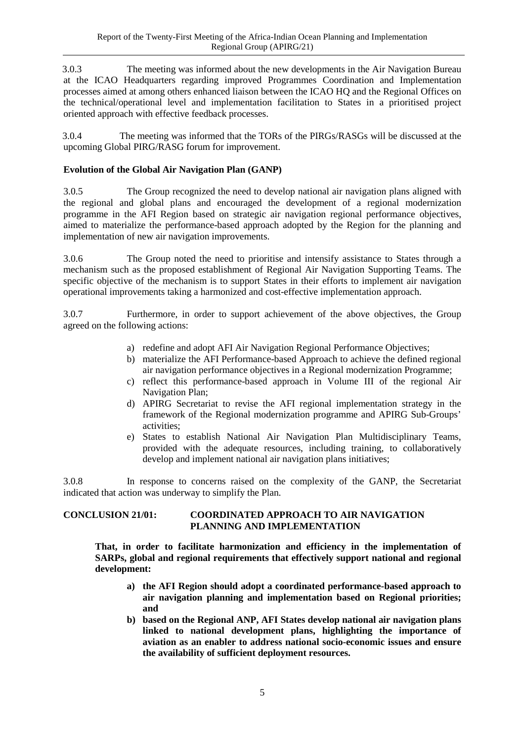3.0.3 The meeting was informed about the new developments in the Air Navigation Bureau at the ICAO Headquarters regarding improved Programmes Coordination and Implementation processes aimed at among others enhanced liaison between the ICAO HQ and the Regional Offices on the technical/operational level and implementation facilitation to States in a prioritised project oriented approach with effective feedback processes.

3.0.4 The meeting was informed that the TORs of the PIRGs/RASGs will be discussed at the upcoming Global PIRG/RASG forum for improvement.

# **Evolution of the Global Air Navigation Plan (GANP)**

3.0.5 The Group recognized the need to develop national air navigation plans aligned with the regional and global plans and encouraged the development of a regional modernization programme in the AFI Region based on strategic air navigation regional performance objectives, aimed to materialize the performance-based approach adopted by the Region for the planning and implementation of new air navigation improvements.

3.0.6 The Group noted the need to prioritise and intensify assistance to States through a mechanism such as the proposed establishment of Regional Air Navigation Supporting Teams. The specific objective of the mechanism is to support States in their efforts to implement air navigation operational improvements taking a harmonized and cost-effective implementation approach.

3.0.7 Furthermore, in order to support achievement of the above objectives, the Group agreed on the following actions:

- a) redefine and adopt AFI Air Navigation Regional Performance Objectives;
- b) materialize the AFI Performance-based Approach to achieve the defined regional air navigation performance objectives in a Regional modernization Programme;
- c) reflect this performance-based approach in Volume III of the regional Air Navigation Plan;
- d) APIRG Secretariat to revise the AFI regional implementation strategy in the framework of the Regional modernization programme and APIRG Sub-Groups' activities;
- e) States to establish National Air Navigation Plan Multidisciplinary Teams, provided with the adequate resources, including training, to collaboratively develop and implement national air navigation plans initiatives;

3.0.8 In response to concerns raised on the complexity of the GANP, the Secretariat indicated that action was underway to simplify the Plan.

#### <span id="page-12-0"></span>**CONCLUSION 21/01: COORDINATED APPROACH TO AIR NAVIGATION PLANNING AND IMPLEMENTATION**

**That, in order to facilitate harmonization and efficiency in the implementation of SARPs, global and regional requirements that effectively support national and regional development:**

- **a) the AFI Region should adopt a coordinated performance-based approach to air navigation planning and implementation based on Regional priorities; and**
- **b) based on the Regional ANP, AFI States develop national air navigation plans linked to national development plans, highlighting the importance of aviation as an enabler to address national socio-economic issues and ensure the availability of sufficient deployment resources.**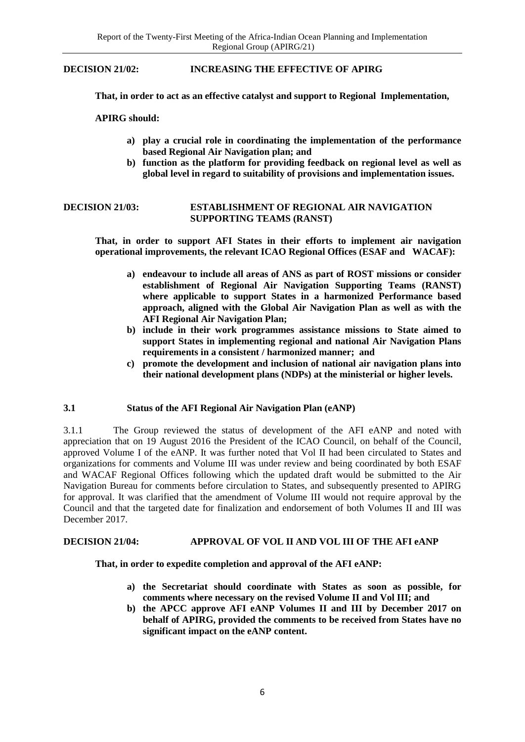<span id="page-13-1"></span>**DECISION 21/02: INCREASING THE EFFECTIVE OF APIRG**

**That, in order to act as an effective catalyst and support to Regional Implementation,** 

#### **APIRG should:**

- **a) play a crucial role in coordinating the implementation of the performance based Regional Air Navigation plan; and**
- **b) function as the platform for providing feedback on regional level as well as global level in regard to suitability of provisions and implementation issues.**

#### <span id="page-13-2"></span>**DECISION 21/03: ESTABLISHMENT OF REGIONAL AIR NAVIGATION SUPPORTING TEAMS (RANST)**

**That, in order to support AFI States in their efforts to implement air navigation operational improvements, the relevant ICAO Regional Offices (ESAF and WACAF):** 

- **a) endeavour to include all areas of ANS as part of ROST missions or consider establishment of Regional Air Navigation Supporting Teams (RANST) where applicable to support States in a harmonized Performance based approach, aligned with the Global Air Navigation Plan as well as with the AFI Regional Air Navigation Plan;**
- **b) include in their work programmes assistance missions to State aimed to support States in implementing regional and national Air Navigation Plans requirements in a consistent / harmonized manner; and**
- **c) promote the development and inclusion of national air navigation plans into their national development plans (NDPs) at the ministerial or higher levels.**

#### <span id="page-13-0"></span>**3.1 Status of the AFI Regional Air Navigation Plan (eANP)**

3.1.1 The Group reviewed the status of development of the AFI eANP and noted with appreciation that on 19 August 2016 the President of the ICAO Council, on behalf of the Council, approved Volume I of the eANP. It was further noted that Vol II had been circulated to States and organizations for comments and Volume III was under review and being coordinated by both ESAF and WACAF Regional Offices following which the updated draft would be submitted to the Air Navigation Bureau for comments before circulation to States, and subsequently presented to APIRG for approval. It was clarified that the amendment of Volume III would not require approval by the Council and that the targeted date for finalization and endorsement of both Volumes II and III was December 2017.

#### <span id="page-13-3"></span>**DECISION 21/04: APPROVAL OF VOL II AND VOL III OF THE AFI eANP**

#### **That, in order to expedite completion and approval of the AFI eANP:**

- **a) the Secretariat should coordinate with States as soon as possible, for comments where necessary on the revised Volume II and Vol III; and**
- **b) the APCC approve AFI eANP Volumes II and III by December 2017 on behalf of APIRG, provided the comments to be received from States have no significant impact on the eANP content.**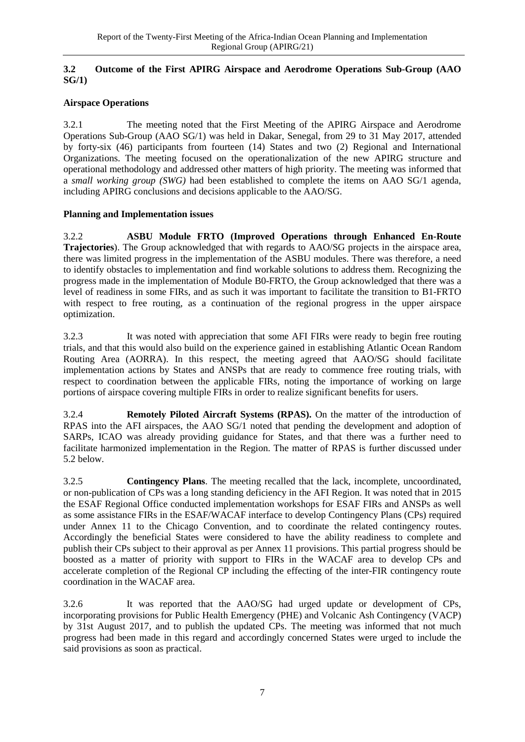#### <span id="page-14-0"></span>**3.2 Outcome of the First APIRG Airspace and Aerodrome Operations Sub-Group (AAO SG/1)**

# **Airspace Operations**

3.2.1 The meeting noted that the First Meeting of the APIRG Airspace and Aerodrome Operations Sub-Group (AAO SG/1) was held in Dakar, Senegal, from 29 to 31 May 2017, attended by forty-six (46) participants from fourteen (14) States and two (2) Regional and International Organizations. The meeting focused on the operationalization of the new APIRG structure and operational methodology and addressed other matters of high priority. The meeting was informed that a *small working group (SWG)* had been established to complete the items on AAO SG/1 agenda, including APIRG conclusions and decisions applicable to the AAO/SG.

### **Planning and Implementation issues**

3.2.2 **ASBU Module FRTO (Improved Operations through Enhanced En-Route Trajectories**). The Group acknowledged that with regards to AAO/SG projects in the airspace area, there was limited progress in the implementation of the ASBU modules. There was therefore, a need to identify obstacles to implementation and find workable solutions to address them. Recognizing the progress made in the implementation of Module B0-FRTO, the Group acknowledged that there was a level of readiness in some FIRs, and as such it was important to facilitate the transition to B1-FRTO with respect to free routing, as a continuation of the regional progress in the upper airspace optimization.

3.2.3 It was noted with appreciation that some AFI FIRs were ready to begin free routing trials, and that this would also build on the experience gained in establishing Atlantic Ocean Random Routing Area (AORRA). In this respect, the meeting agreed that AAO/SG should facilitate implementation actions by States and ANSPs that are ready to commence free routing trials, with respect to coordination between the applicable FIRs, noting the importance of working on large portions of airspace covering multiple FIRs in order to realize significant benefits for users.

3.2.4 **Remotely Piloted Aircraft Systems (RPAS).** On the matter of the introduction of RPAS into the AFI airspaces, the AAO SG/1 noted that pending the development and adoption of SARPs, ICAO was already providing guidance for States, and that there was a further need to facilitate harmonized implementation in the Region. The matter of RPAS is further discussed under 5.2 below.

3.2.5 **Contingency Plans**. The meeting recalled that the lack, incomplete, uncoordinated, or non-publication of CPs was a long standing deficiency in the AFI Region. It was noted that in 2015 the ESAF Regional Office conducted implementation workshops for ESAF FIRs and ANSPs as well as some assistance FIRs in the ESAF/WACAF interface to develop Contingency Plans (CPs) required under Annex 11 to the Chicago Convention, and to coordinate the related contingency routes. Accordingly the beneficial States were considered to have the ability readiness to complete and publish their CPs subject to their approval as per Annex 11 provisions. This partial progress should be boosted as a matter of priority with support to FIRs in the WACAF area to develop CPs and accelerate completion of the Regional CP including the effecting of the inter-FIR contingency route coordination in the WACAF area.

3.2.6 It was reported that the AAO/SG had urged update or development of CPs, incorporating provisions for Public Health Emergency (PHE) and Volcanic Ash Contingency (VACP) by 31st August 2017, and to publish the updated CPs. The meeting was informed that not much progress had been made in this regard and accordingly concerned States were urged to include the said provisions as soon as practical.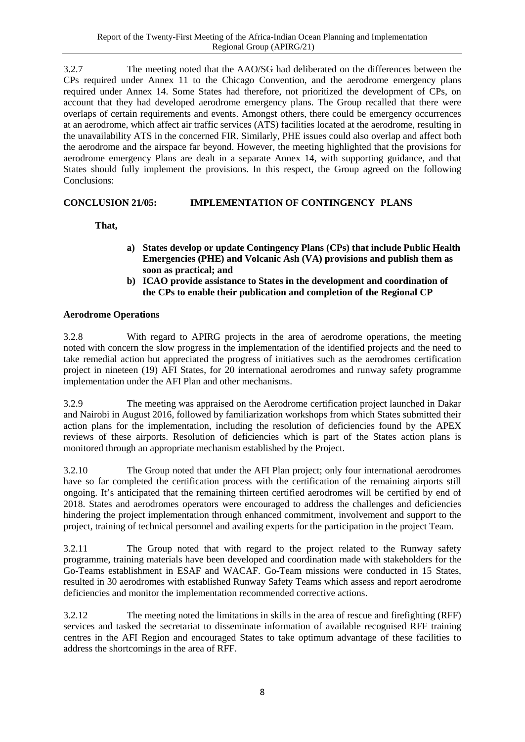3.2.7 The meeting noted that the AAO/SG had deliberated on the differences between the CPs required under Annex 11 to the Chicago Convention, and the aerodrome emergency plans required under Annex 14. Some States had therefore, not prioritized the development of CPs, on account that they had developed aerodrome emergency plans. The Group recalled that there were overlaps of certain requirements and events. Amongst others, there could be emergency occurrences at an aerodrome, which affect air traffic services (ATS) facilities located at the aerodrome, resulting in the unavailability ATS in the concerned FIR. Similarly, PHE issues could also overlap and affect both the aerodrome and the airspace far beyond. However, the meeting highlighted that the provisions for aerodrome emergency Plans are dealt in a separate Annex 14, with supporting guidance, and that States should fully implement the provisions. In this respect, the Group agreed on the following Conclusions:

# <span id="page-15-0"></span>**CONCLUSION 21/05: IMPLEMENTATION OF CONTINGENCY PLANS**

**That,** 

- **a) States develop or update Contingency Plans (CPs) that include Public Health Emergencies (PHE) and Volcanic Ash (VA) provisions and publish them as soon as practical; and**
- **b) ICAO provide assistance to States in the development and coordination of the CPs to enable their publication and completion of the Regional CP**

### **Aerodrome Operations**

3.2.8 With regard to APIRG projects in the area of aerodrome operations, the meeting noted with concern the slow progress in the implementation of the identified projects and the need to take remedial action but appreciated the progress of initiatives such as the aerodromes certification project in nineteen (19) AFI States, for 20 international aerodromes and runway safety programme implementation under the AFI Plan and other mechanisms.

3.2.9 The meeting was appraised on the Aerodrome certification project launched in Dakar and Nairobi in August 2016, followed by familiarization workshops from which States submitted their action plans for the implementation, including the resolution of deficiencies found by the APEX reviews of these airports. Resolution of deficiencies which is part of the States action plans is monitored through an appropriate mechanism established by the Project.

3.2.10 The Group noted that under the AFI Plan project; only four international aerodromes have so far completed the certification process with the certification of the remaining airports still ongoing. It's anticipated that the remaining thirteen certified aerodromes will be certified by end of 2018. States and aerodromes operators were encouraged to address the challenges and deficiencies hindering the project implementation through enhanced commitment, involvement and support to the project, training of technical personnel and availing experts for the participation in the project Team.

3.2.11 The Group noted that with regard to the project related to the Runway safety programme, training materials have been developed and coordination made with stakeholders for the Go-Teams establishment in ESAF and WACAF. Go-Team missions were conducted in 15 States, resulted in 30 aerodromes with established Runway Safety Teams which assess and report aerodrome deficiencies and monitor the implementation recommended corrective actions.

3.2.12 The meeting noted the limitations in skills in the area of rescue and firefighting (RFF) services and tasked the secretariat to disseminate information of available recognised RFF training centres in the AFI Region and encouraged States to take optimum advantage of these facilities to address the shortcomings in the area of RFF.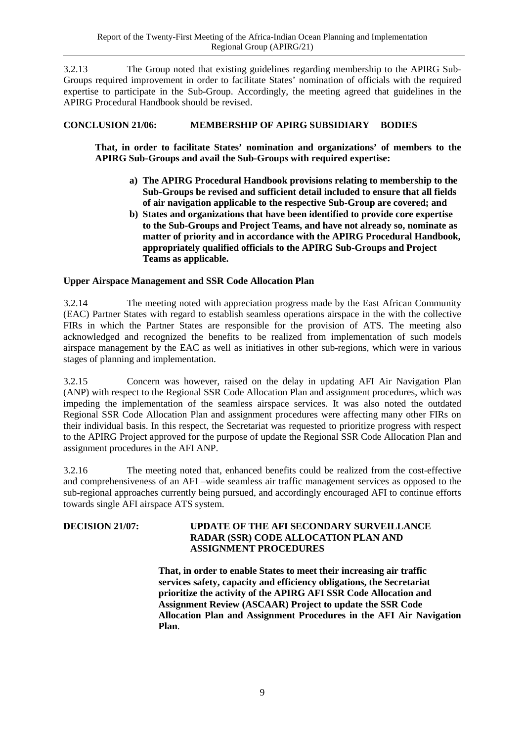3.2.13 The Group noted that existing guidelines regarding membership to the APIRG Sub-Groups required improvement in order to facilitate States' nomination of officials with the required expertise to participate in the Sub-Group. Accordingly, the meeting agreed that guidelines in the APIRG Procedural Handbook should be revised.

# <span id="page-16-0"></span>**CONCLUSION 21/06: MEMBERSHIP OF APIRG SUBSIDIARY BODIES**

**That, in order to facilitate States' nomination and organizations' of members to the APIRG Sub-Groups and avail the Sub-Groups with required expertise:**

- **a) The APIRG Procedural Handbook provisions relating to membership to the Sub-Groups be revised and sufficient detail included to ensure that all fields of air navigation applicable to the respective Sub-Group are covered; and**
- **b) States and organizations that have been identified to provide core expertise to the Sub-Groups and Project Teams, and have not already so, nominate as matter of priority and in accordance with the APIRG Procedural Handbook, appropriately qualified officials to the APIRG Sub-Groups and Project Teams as applicable.**

#### **Upper Airspace Management and SSR Code Allocation Plan**

3.2.14 The meeting noted with appreciation progress made by the East African Community (EAC) Partner States with regard to establish seamless operations airspace in the with the collective FIRs in which the Partner States are responsible for the provision of ATS. The meeting also acknowledged and recognized the benefits to be realized from implementation of such models airspace management by the EAC as well as initiatives in other sub-regions, which were in various stages of planning and implementation.

3.2.15 Concern was however, raised on the delay in updating AFI Air Navigation Plan (ANP) with respect to the Regional SSR Code Allocation Plan and assignment procedures, which was impeding the implementation of the seamless airspace services. It was also noted the outdated Regional SSR Code Allocation Plan and assignment procedures were affecting many other FIRs on their individual basis. In this respect, the Secretariat was requested to prioritize progress with respect to the APIRG Project approved for the purpose of update the Regional SSR Code Allocation Plan and assignment procedures in the AFI ANP.

3.2.16 The meeting noted that, enhanced benefits could be realized from the cost-effective and comprehensiveness of an AFI –wide seamless air traffic management services as opposed to the sub-regional approaches currently being pursued, and accordingly encouraged AFI to continue efforts towards single AFI airspace ATS system.

### <span id="page-16-1"></span>**DECISION 21/07: UPDATE OF THE AFI SECONDARY SURVEILLANCE RADAR (SSR) CODE ALLOCATION PLAN AND ASSIGNMENT PROCEDURES**

**That, in order to enable States to meet their increasing air traffic services safety, capacity and efficiency obligations, the Secretariat prioritize the activity of the APIRG AFI SSR Code Allocation and Assignment Review (ASCAAR) Project to update the SSR Code Allocation Plan and Assignment Procedures in the AFI Air Navigation Plan**.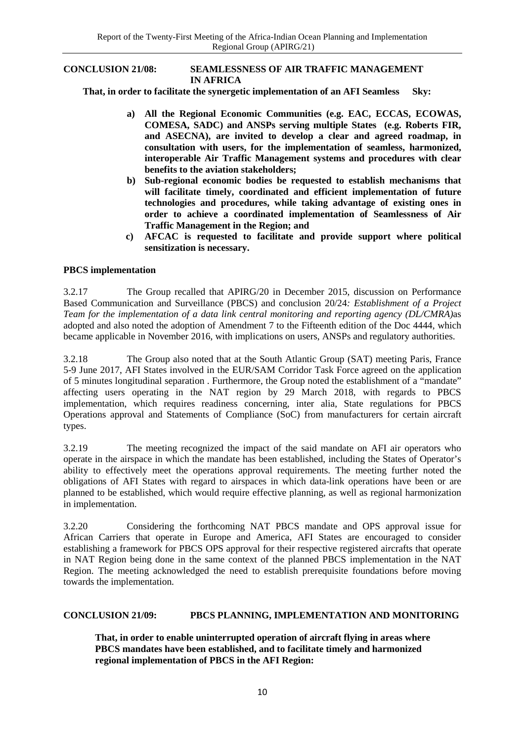#### <span id="page-17-0"></span>**CONCLUSION 21/08: SEAMLESSNESS OF AIR TRAFFIC MANAGEMENT IN AFRICA**

 **That, in order to facilitate the synergetic implementation of an AFI Seamless Sky:**

- **a) All the Regional Economic Communities (e.g. EAC, ECCAS, ECOWAS, COMESA, SADC) and ANSPs serving multiple States (e.g. Roberts FIR, and ASECNA), are invited to develop a clear and agreed roadmap, in consultation with users, for the implementation of seamless, harmonized, interoperable Air Traffic Management systems and procedures with clear benefits to the aviation stakeholders;**
- **b) Sub-regional economic bodies be requested to establish mechanisms that will facilitate timely, coordinated and efficient implementation of future technologies and procedures, while taking advantage of existing ones in order to achieve a coordinated implementation of Seamlessness of Air Traffic Management in the Region; and**
- **c) AFCAC is requested to facilitate and provide support where political sensitization is necessary.**

#### **PBCS implementation**

3.2.17 The Group recalled that APIRG/20 in December 2015, discussion on Performance Based Communication and Surveillance (PBCS) and conclusion 20/24*: Establishment of a Project Team for the implementation of a data link central monitoring and reporting agency (DL/CMRA)*as adopted and also noted the adoption of Amendment 7 to the Fifteenth edition of the Doc 4444, which became applicable in November 2016, with implications on users, ANSPs and regulatory authorities.

3.2.18 The Group also noted that at the South Atlantic Group (SAT) meeting Paris, France 5-9 June 2017, AFI States involved in the EUR/SAM Corridor Task Force agreed on the application of 5 minutes longitudinal separation . Furthermore, the Group noted the establishment of a "mandate" affecting users operating in the NAT region by 29 March 2018, with regards to PBCS implementation, which requires readiness concerning, inter alia, State regulations for PBCS Operations approval and Statements of Compliance (SoC) from manufacturers for certain aircraft types.

3.2.19 The meeting recognized the impact of the said mandate on AFI air operators who operate in the airspace in which the mandate has been established, including the States of Operator's ability to effectively meet the operations approval requirements. The meeting further noted the obligations of AFI States with regard to airspaces in which data-link operations have been or are planned to be established, which would require effective planning, as well as regional harmonization in implementation.

3.2.20 Considering the forthcoming NAT PBCS mandate and OPS approval issue for African Carriers that operate in Europe and America, AFI States are encouraged to consider establishing a framework for PBCS OPS approval for their respective registered aircrafts that operate in NAT Region being done in the same context of the planned PBCS implementation in the NAT Region. The meeting acknowledged the need to establish prerequisite foundations before moving towards the implementation.

#### <span id="page-17-1"></span>**CONCLUSION 21/09: PBCS PLANNING, IMPLEMENTATION AND MONITORING**

**That, in order to enable uninterrupted operation of aircraft flying in areas where PBCS mandates have been established, and to facilitate timely and harmonized regional implementation of PBCS in the AFI Region:**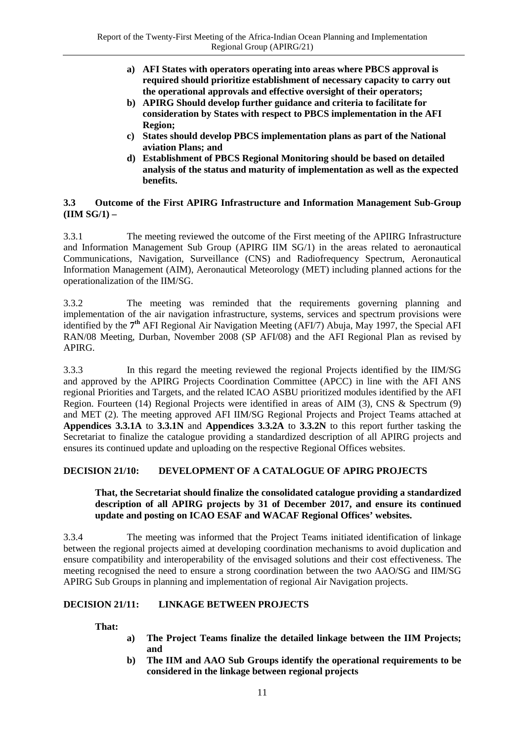- **a) AFI States with operators operating into areas where PBCS approval is required should prioritize establishment of necessary capacity to carry out the operational approvals and effective oversight of their operators;**
- **b) APIRG Should develop further guidance and criteria to facilitate for consideration by States with respect to PBCS implementation in the AFI Region;**
- **c) States should develop PBCS implementation plans as part of the National aviation Plans; and**
- **d) Establishment of PBCS Regional Monitoring should be based on detailed analysis of the status and maturity of implementation as well as the expected benefits.**

#### <span id="page-18-0"></span>**3.3 Outcome of the First APIRG Infrastructure and Information Management Sub-Group (IIM SG/1) –**

3.3.1 The meeting reviewed the outcome of the First meeting of the APIIRG Infrastructure and Information Management Sub Group (APIRG IIM SG/1) in the areas related to aeronautical Communications, Navigation, Surveillance (CNS) and Radiofrequency Spectrum, Aeronautical Information Management (AIM), Aeronautical Meteorology (MET) including planned actions for the operationalization of the IIM/SG.

3.3.2 The meeting was reminded that the requirements governing planning and implementation of the air navigation infrastructure, systems, services and spectrum provisions were identified by the **7th** AFI Regional Air Navigation Meeting (AFI/7) Abuja, May 1997, the Special AFI RAN/08 Meeting, Durban, November 2008 (SP AFI/08) and the AFI Regional Plan as revised by APIRG.

3.3.3 In this regard the meeting reviewed the regional Projects identified by the IIM/SG and approved by the APIRG Projects Coordination Committee (APCC) in line with the AFI ANS regional Priorities and Targets, and the related ICAO ASBU prioritized modules identified by the AFI Region. Fourteen (14) Regional Projects were identified in areas of AIM (3), CNS & Spectrum (9) and MET (2). The meeting approved AFI IIM/SG Regional Projects and Project Teams attached at **Appendices 3.3.1A** to **3.3.1N** and **Appendices 3.3.2A** to **3.3.2N** to this report further tasking the Secretariat to finalize the catalogue providing a standardized description of all APIRG projects and ensures its continued update and uploading on the respective Regional Offices websites.

### <span id="page-18-1"></span>**DECISION 21/10: DEVELOPMENT OF A CATALOGUE OF APIRG PROJECTS**

#### **That, the Secretariat should finalize the consolidated catalogue providing a standardized description of all APIRG projects by 31 of December 2017, and ensure its continued update and posting on ICAO ESAF and WACAF Regional Offices' websites.**

3.3.4 The meeting was informed that the Project Teams initiated identification of linkage between the regional projects aimed at developing coordination mechanisms to avoid duplication and ensure compatibility and interoperability of the envisaged solutions and their cost effectiveness. The meeting recognised the need to ensure a strong coordination between the two AAO/SG and IIM/SG APIRG Sub Groups in planning and implementation of regional Air Navigation projects.

### <span id="page-18-2"></span>**DECISION 21/11: LINKAGE BETWEEN PROJECTS**

**That:**

- **a) The Project Teams finalize the detailed linkage between the IIM Projects; and**
- **b) The IIM and AAO Sub Groups identify the operational requirements to be considered in the linkage between regional projects**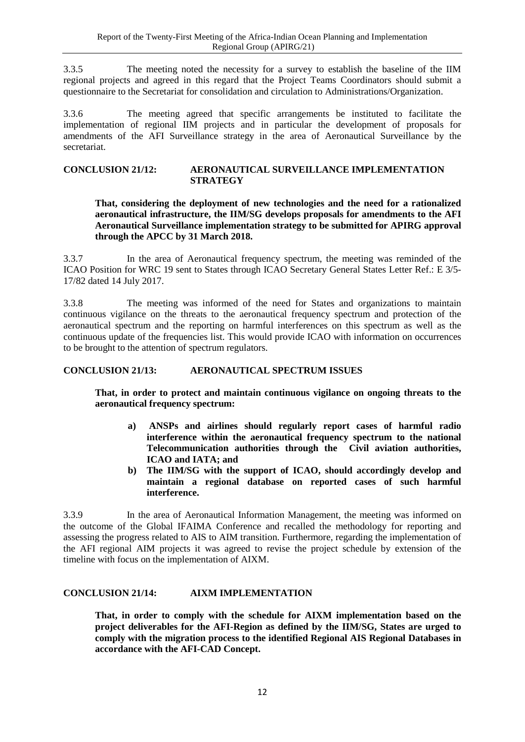3.3.5 The meeting noted the necessity for a survey to establish the baseline of the IIM regional projects and agreed in this regard that the Project Teams Coordinators should submit a questionnaire to the Secretariat for consolidation and circulation to Administrations/Organization.

3.3.6 The meeting agreed that specific arrangements be instituted to facilitate the implementation of regional IIM projects and in particular the development of proposals for amendments of the AFI Surveillance strategy in the area of Aeronautical Surveillance by the secretariat.

#### <span id="page-19-0"></span>**CONCLUSION 21/12: AERONAUTICAL SURVEILLANCE IMPLEMENTATION STRATEGY**

<span id="page-19-1"></span>**That, considering the deployment of new technologies and the need for a rationalized aeronautical infrastructure, the IIM/SG develops proposals for amendments to the AFI Aeronautical Surveillance implementation strategy to be submitted for APIRG approval through the APCC by 31 March 2018.**

3.3.7 In the area of Aeronautical frequency spectrum, the meeting was reminded of the ICAO Position for WRC 19 sent to States through ICAO Secretary General States Letter Ref.: E 3/5- 17/82 dated 14 July 2017.

3.3.8 The meeting was informed of the need for States and organizations to maintain continuous vigilance on the threats to the aeronautical frequency spectrum and protection of the aeronautical spectrum and the reporting on harmful interferences on this spectrum as well as the continuous update of the frequencies list. This would provide ICAO with information on occurrences to be brought to the attention of spectrum regulators.

### <span id="page-19-2"></span>**CONCLUSION 21/13: AERONAUTICAL SPECTRUM ISSUES**

**That, in order to protect and maintain continuous vigilance on ongoing threats to the aeronautical frequency spectrum:**

- **a) ANSPs and airlines should regularly report cases of harmful radio interference within the aeronautical frequency spectrum to the national Telecommunication authorities through the Civil aviation authorities, ICAO and IATA; and**
- **b) The IIM/SG with the support of ICAO, should accordingly develop and maintain a regional database on reported cases of such harmful interference.**

3.3.9 In the area of Aeronautical Information Management, the meeting was informed on the outcome of the Global IFAIMA Conference and recalled the methodology for reporting and assessing the progress related to AIS to AIM transition. Furthermore, regarding the implementation of the AFI regional AIM projects it was agreed to revise the project schedule by extension of the timeline with focus on the implementation of AIXM.

#### <span id="page-19-3"></span>**CONCLUSION 21/14: AIXM IMPLEMENTATION**

**That, in order to comply with the schedule for AIXM implementation based on the project deliverables for the AFI-Region as defined by the IIM/SG, States are urged to comply with the migration process to the identified Regional AIS Regional Databases in accordance with the AFI-CAD Concept.**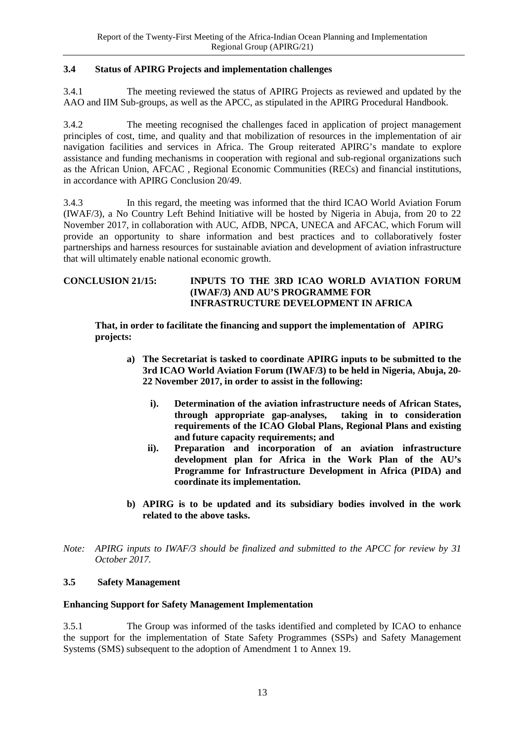### <span id="page-20-0"></span>**3.4 Status of APIRG Projects and implementation challenges**

3.4.1 The meeting reviewed the status of APIRG Projects as reviewed and updated by the AAO and IIM Sub-groups, as well as the APCC, as stipulated in the APIRG Procedural Handbook.

3.4.2 The meeting recognised the challenges faced in application of project management principles of cost, time, and quality and that mobilization of resources in the implementation of air navigation facilities and services in Africa. The Group reiterated APIRG's mandate to explore assistance and funding mechanisms in cooperation with regional and sub-regional organizations such as the African Union, AFCAC , Regional Economic Communities (RECs) and financial institutions, in accordance with APIRG Conclusion 20/49.

3.4.3 In this regard, the meeting was informed that the third ICAO World Aviation Forum (IWAF/3), a No Country Left Behind Initiative will be hosted by Nigeria in Abuja, from 20 to 22 November 2017, in collaboration with AUC, AfDB, NPCA, UNECA and AFCAC, which Forum will provide an opportunity to share information and best practices and to collaboratively foster partnerships and harness resources for sustainable aviation and development of aviation infrastructure that will ultimately enable national economic growth.

#### <span id="page-20-2"></span>**CONCLUSION 21/15: INPUTS TO THE 3RD ICAO WORLD AVIATION FORUM (IWAF/3) AND AU'S PROGRAMME FOR INFRASTRUCTURE DEVELOPMENT IN AFRICA**

**That, in order to facilitate the financing and support the implementation of APIRG projects:**

- **a) The Secretariat is tasked to coordinate APIRG inputs to be submitted to the 3rd ICAO World Aviation Forum (IWAF/3) to be held in Nigeria, Abuja, 20- 22 November 2017, in order to assist in the following:**
	- **i). Determination of the aviation infrastructure needs of African States, through appropriate gap-analyses, taking in to consideration requirements of the ICAO Global Plans, Regional Plans and existing and future capacity requirements; and**
	- **ii). Preparation and incorporation of an aviation infrastructure development plan for Africa in the Work Plan of the AU's Programme for Infrastructure Development in Africa (PIDA) and coordinate its implementation.**
- **b) APIRG is to be updated and its subsidiary bodies involved in the work related to the above tasks.**
- *Note: APIRG inputs to IWAF/3 should be finalized and submitted to the APCC for review by 31 October 2017.*

### <span id="page-20-1"></span>**3.5 Safety Management**

#### **Enhancing Support for Safety Management Implementation**

3.5.1 The Group was informed of the tasks identified and completed by ICAO to enhance the support for the implementation of State Safety Programmes (SSPs) and Safety Management Systems (SMS) subsequent to the adoption of Amendment 1 to Annex 19.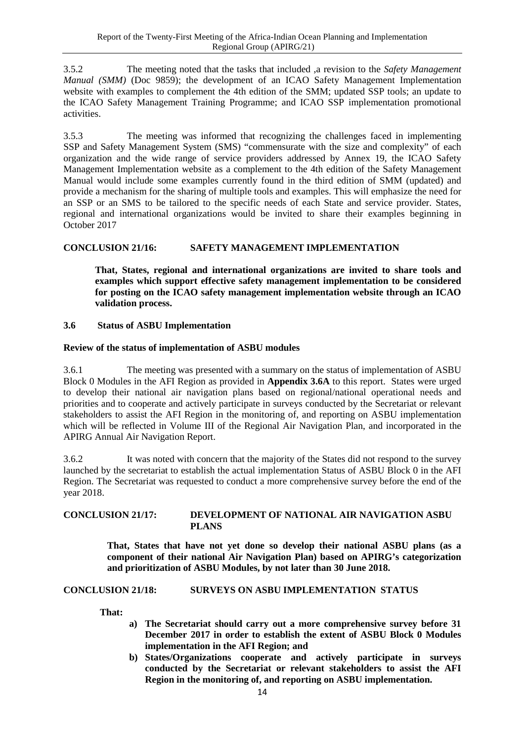3.5.2 The meeting noted that the tasks that included ,a revision to the *Safety Management Manual (SMM)* (Doc 9859); the development of an ICAO Safety Management Implementation website with examples to complement the 4th edition of the SMM; updated SSP tools; an update to the ICAO Safety Management Training Programme; and ICAO SSP implementation promotional activities.

3.5.3 The meeting was informed that recognizing the challenges faced in implementing SSP and Safety Management System (SMS) "commensurate with the size and complexity" of each organization and the wide range of service providers addressed by Annex 19, the ICAO Safety Management Implementation website as a complement to the 4th edition of the Safety Management Manual would include some examples currently found in the third edition of SMM (updated) and provide a mechanism for the sharing of multiple tools and examples. This will emphasize the need for an SSP or an SMS to be tailored to the specific needs of each State and service provider. States, regional and international organizations would be invited to share their examples beginning in October 2017

### <span id="page-21-1"></span>**CONCLUSION 21/16: SAFETY MANAGEMENT IMPLEMENTATION**

**That, States, regional and international organizations are invited to share tools and examples which support effective safety management implementation to be considered for posting on the ICAO safety management implementation website through an ICAO validation process.**

#### <span id="page-21-0"></span>**3.6 Status of ASBU Implementation**

#### **Review of the status of implementation of ASBU modules**

3.6.1 The meeting was presented with a summary on the status of implementation of ASBU Block 0 Modules in the AFI Region as provided in **Appendix 3.6A** to this report. States were urged to develop their national air navigation plans based on regional/national operational needs and priorities and to cooperate and actively participate in surveys conducted by the Secretariat or relevant stakeholders to assist the AFI Region in the monitoring of, and reporting on ASBU implementation which will be reflected in Volume III of the Regional Air Navigation Plan, and incorporated in the APIRG Annual Air Navigation Report.

3.6.2 It was noted with concern that the majority of the States did not respond to the survey launched by the secretariat to establish the actual implementation Status of ASBU Block 0 in the AFI Region. The Secretariat was requested to conduct a more comprehensive survey before the end of the year 2018.

#### <span id="page-21-2"></span>**CONCLUSION 21/17: DEVELOPMENT OF NATIONAL AIR NAVIGATION ASBU PLANS**

**That, States that have not yet done so develop their national ASBU plans (as a component of their national Air Navigation Plan) based on APIRG's categorization and prioritization of ASBU Modules, by not later than 30 June 2018.**

#### <span id="page-21-3"></span>**CONCLUSION 21/18: SURVEYS ON ASBU IMPLEMENTATION STATUS**

 **That:**

- **a) The Secretariat should carry out a more comprehensive survey before 31 December 2017 in order to establish the extent of ASBU Block 0 Modules implementation in the AFI Region; and**
- **b) States/Organizations cooperate and actively participate in surveys conducted by the Secretariat or relevant stakeholders to assist the AFI Region in the monitoring of, and reporting on ASBU implementation.**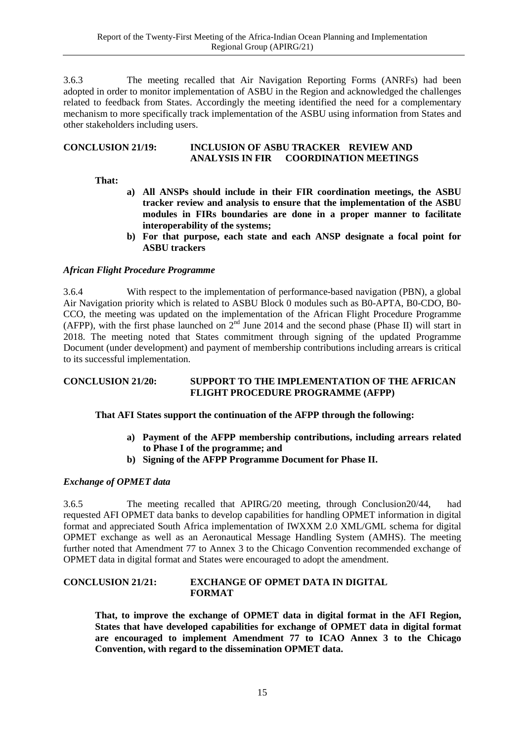3.6.3 The meeting recalled that Air Navigation Reporting Forms (ANRFs) had been adopted in order to monitor implementation of ASBU in the Region and acknowledged the challenges related to feedback from States. Accordingly the meeting identified the need for a complementary mechanism to more specifically track implementation of the ASBU using information from States and other stakeholders including users.

#### <span id="page-22-0"></span>**CONCLUSION 21/19: INCLUSION OF ASBU TRACKER REVIEW AND ANALYSIS IN FIR COORDINATION MEETINGS**

#### **That:**

- **a) All ANSPs should include in their FIR coordination meetings, the ASBU tracker review and analysis to ensure that the implementation of the ASBU modules in FIRs boundaries are done in a proper manner to facilitate interoperability of the systems;**
- **b) For that purpose, each state and each ANSP designate a focal point for ASBU trackers**

#### *African Flight Procedure Programme*

3.6.4 With respect to the implementation of performance-based navigation (PBN), a global Air Navigation priority which is related to ASBU Block 0 modules such as B0-APTA, B0-CDO, B0- CCO, the meeting was updated on the implementation of the African Flight Procedure Programme (AFPP), with the first phase launched on  $2^{nd}$  June 2014 and the second phase (Phase II) will start in 2018. The meeting noted that States commitment through signing of the updated Programme Document (under development) and payment of membership contributions including arrears is critical to its successful implementation.

#### <span id="page-22-1"></span>**CONCLUSION 21/20: SUPPORT TO THE IMPLEMENTATION OF THE AFRICAN FLIGHT PROCEDURE PROGRAMME (AFPP)**

#### **That AFI States support the continuation of the AFPP through the following:**

- <span id="page-22-2"></span>**a) Payment of the AFPP membership contributions, including arrears related to Phase I of the programme; and**
- **b) Signing of the AFPP Programme Document for Phase II.**

#### *Exchange of OPMET data*

3.6.5 The meeting recalled that APIRG/20 meeting, through Conclusion20/44, had requested AFI OPMET data banks to develop capabilities for handling OPMET information in digital format and appreciated South Africa implementation of IWXXM 2.0 XML/GML schema for digital OPMET exchange as well as an Aeronautical Message Handling System (AMHS). The meeting further noted that Amendment 77 to Annex 3 to the Chicago Convention recommended exchange of OPMET data in digital format and States were encouraged to adopt the amendment.

#### <span id="page-22-3"></span>**CONCLUSION 21/21: EXCHANGE OF OPMET DATA IN DIGITAL FORMAT**

**That, to improve the exchange of OPMET data in digital format in the AFI Region, States that have developed capabilities for exchange of OPMET data in digital format are encouraged to implement Amendment 77 to ICAO Annex 3 to the Chicago Convention, with regard to the dissemination OPMET data.**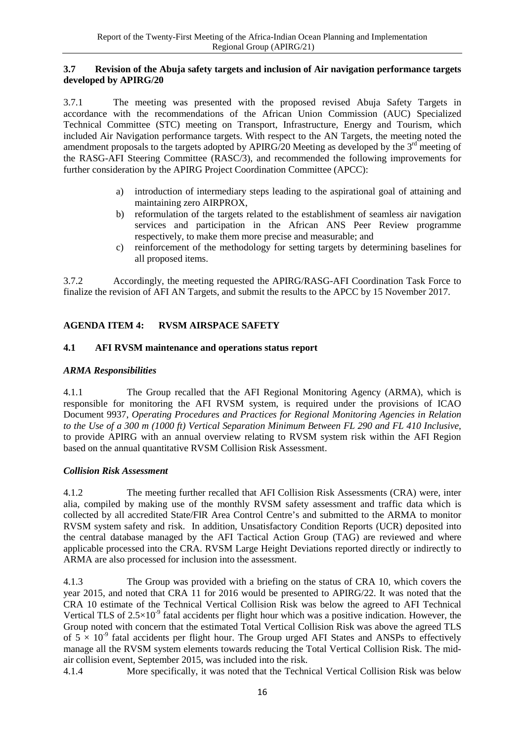#### <span id="page-23-0"></span>**3.7 Revision of the Abuja safety targets and inclusion of Air navigation performance targets developed by APIRG/20**

3.7.1 The meeting was presented with the proposed revised Abuja Safety Targets in accordance with the recommendations of the African Union Commission (AUC) Specialized Technical Committee (STC) meeting on Transport, Infrastructure, Energy and Tourism, which included Air Navigation performance targets. With respect to the AN Targets, the meeting noted the amendment proposals to the targets adopted by  $APIRG/20$  Meeting as developed by the  $3<sup>rd</sup>$  meeting of the RASG-AFI Steering Committee (RASC/3), and recommended the following improvements for further consideration by the APIRG Project Coordination Committee (APCC):

- a) introduction of intermediary steps leading to the aspirational goal of attaining and maintaining zero AIRPROX,
- b) reformulation of the targets related to the establishment of seamless air navigation services and participation in the African ANS Peer Review programme respectively, to make them more precise and measurable; and
- c) reinforcement of the methodology for setting targets by determining baselines for all proposed items.

3.7.2 Accordingly, the meeting requested the APIRG/RASG-AFI Coordination Task Force to finalize the revision of AFI AN Targets, and submit the results to the APCC by 15 November 2017.

# <span id="page-23-1"></span>**AGENDA ITEM 4: RVSM AIRSPACE SAFETY**

### <span id="page-23-2"></span>**4.1 AFI RVSM maintenance and operations status report**

### *ARMA Responsibilities*

4.1.1 The Group recalled that the AFI Regional Monitoring Agency (ARMA), which is responsible for monitoring the AFI RVSM system, is required under the provisions of ICAO Document 9937, *Operating Procedures and Practices for Regional Monitoring Agencies in Relation to the Use of a 300 m (1000 ft) Vertical Separation Minimum Between FL 290 and FL 410 Inclusive*, to provide APIRG with an annual overview relating to RVSM system risk within the AFI Region based on the annual quantitative RVSM Collision Risk Assessment.

#### *Collision Risk Assessment*

4.1.2 The meeting further recalled that AFI Collision Risk Assessments (CRA) were, inter alia, compiled by making use of the monthly RVSM safety assessment and traffic data which is collected by all accredited State/FIR Area Control Centre's and submitted to the ARMA to monitor RVSM system safety and risk. In addition, Unsatisfactory Condition Reports (UCR) deposited into the central database managed by the AFI Tactical Action Group (TAG) are reviewed and where applicable processed into the CRA. RVSM Large Height Deviations reported directly or indirectly to ARMA are also processed for inclusion into the assessment.

4.1.3 The Group was provided with a briefing on the status of CRA 10, which covers the year 2015, and noted that CRA 11 for 2016 would be presented to APIRG/22. It was noted that the CRA 10 estimate of the Technical Vertical Collision Risk was below the agreed to AFI Technical Vertical TLS of  $2.5\times10^{-9}$  fatal accidents per flight hour which was a positive indication. However, the Group noted with concern that the estimated Total Vertical Collision Risk was above the agreed TLS of  $5 \times 10^{-9}$  fatal accidents per flight hour. The Group urged AFI States and ANSPs to effectively manage all the RVSM system elements towards reducing the Total Vertical Collision Risk. The midair collision event, September 2015, was included into the risk.

4.1.4 More specifically, it was noted that the Technical Vertical Collision Risk was below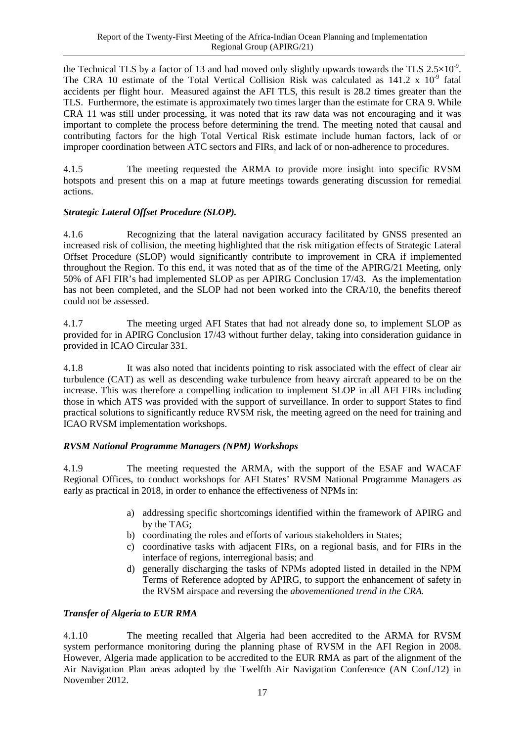the Technical TLS by a factor of 13 and had moved only slightly upwards towards the TLS  $2.5 \times 10^{-9}$ . The CRA 10 estimate of the Total Vertical Collision Risk was calculated as  $141.2 \times 10^{-9}$  fatal accidents per flight hour. Measured against the AFI TLS, this result is 28.2 times greater than the TLS. Furthermore, the estimate is approximately two times larger than the estimate for CRA 9. While CRA 11 was still under processing, it was noted that its raw data was not encouraging and it was important to complete the process before determining the trend. The meeting noted that causal and contributing factors for the high Total Vertical Risk estimate include human factors, lack of or improper coordination between ATC sectors and FIRs, and lack of or non-adherence to procedures.

4.1.5 The meeting requested the ARMA to provide more insight into specific RVSM hotspots and present this on a map at future meetings towards generating discussion for remedial actions.

# *Strategic Lateral Offset Procedure (SLOP).*

4.1.6 Recognizing that the lateral navigation accuracy facilitated by GNSS presented an increased risk of collision, the meeting highlighted that the risk mitigation effects of Strategic Lateral Offset Procedure (SLOP) would significantly contribute to improvement in CRA if implemented throughout the Region. To this end, it was noted that as of the time of the APIRG/21 Meeting, only 50% of AFI FIR's had implemented SLOP as per APIRG Conclusion 17/43. As the implementation has not been completed, and the SLOP had not been worked into the CRA/10, the benefits thereof could not be assessed.

4.1.7 The meeting urged AFI States that had not already done so, to implement SLOP as provided for in APIRG Conclusion 17/43 without further delay, taking into consideration guidance in provided in ICAO Circular 331.

4.1.8 It was also noted that incidents pointing to risk associated with the effect of clear air turbulence (CAT) as well as descending wake turbulence from heavy aircraft appeared to be on the increase. This was therefore a compelling indication to implement SLOP in all AFI FIRs including those in which ATS was provided with the support of surveillance. In order to support States to find practical solutions to significantly reduce RVSM risk, the meeting agreed on the need for training and ICAO RVSM implementation workshops.

### *RVSM National Programme Managers (NPM) Workshops*

4.1.9 The meeting requested the ARMA, with the support of the ESAF and WACAF Regional Offices, to conduct workshops for AFI States' RVSM National Programme Managers as early as practical in 2018, in order to enhance the effectiveness of NPMs in:

- a) addressing specific shortcomings identified within the framework of APIRG and by the TAG;
- b) coordinating the roles and efforts of various stakeholders in States;
- c) coordinative tasks with adjacent FIRs, on a regional basis, and for FIRs in the interface of regions, interregional basis; and
- d) generally discharging the tasks of NPMs adopted listed in detailed in the NPM Terms of Reference adopted by APIRG, to support the enhancement of safety in the RVSM airspace and reversing the *abovementioned trend in the CRA.*

### *Transfer of Algeria to EUR RMA*

4.1.10 The meeting recalled that Algeria had been accredited to the ARMA for RVSM system performance monitoring during the planning phase of RVSM in the AFI Region in 2008. However, Algeria made application to be accredited to the EUR RMA as part of the alignment of the Air Navigation Plan areas adopted by the Twelfth Air Navigation Conference (AN Conf./12) in November 2012.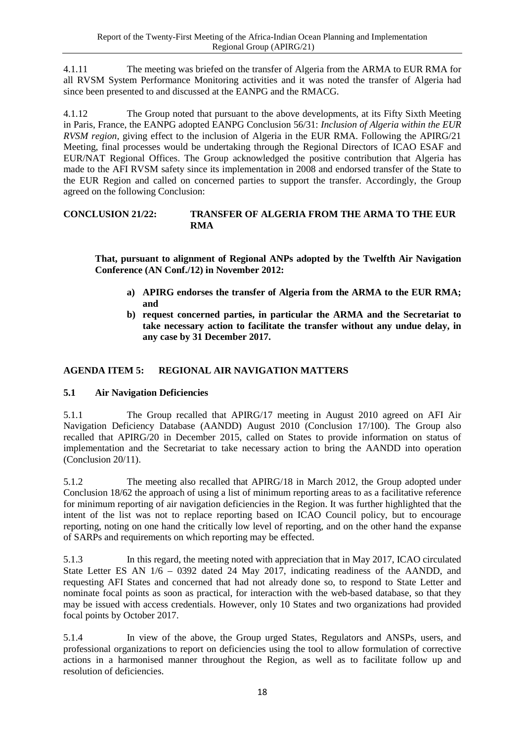4.1.11 The meeting was briefed on the transfer of Algeria from the ARMA to EUR RMA for all RVSM System Performance Monitoring activities and it was noted the transfer of Algeria had since been presented to and discussed at the EANPG and the RMACG.

4.1.12 The Group noted that pursuant to the above developments, at its Fifty Sixth Meeting in Paris, France, the EANPG adopted EANPG Conclusion 56/31: *Inclusion of Algeria within the EUR RVSM region,* giving effect to the inclusion of Algeria in the EUR RMA. Following the APIRG/21 Meeting, final processes would be undertaking through the Regional Directors of ICAO ESAF and EUR/NAT Regional Offices. The Group acknowledged the positive contribution that Algeria has made to the AFI RVSM safety since its implementation in 2008 and endorsed transfer of the State to the EUR Region and called on concerned parties to support the transfer. Accordingly, the Group agreed on the following Conclusion:

#### <span id="page-25-2"></span>**CONCLUSION 21/22: TRANSFER OF ALGERIA FROM THE ARMA TO THE EUR RMA**

**That, pursuant to alignment of Regional ANPs adopted by the Twelfth Air Navigation Conference (AN Conf./12) in November 2012:**

- <span id="page-25-3"></span>**a) APIRG endorses the transfer of Algeria from the ARMA to the EUR RMA; and**
- **b) request concerned parties, in particular the ARMA and the Secretariat to take necessary action to facilitate the transfer without any undue delay, in any case by 31 December 2017.**

# <span id="page-25-0"></span>**AGENDA ITEM 5: REGIONAL AIR NAVIGATION MATTERS**

# <span id="page-25-1"></span>**5.1 Air Navigation Deficiencies**

5.1.1 The Group recalled that APIRG/17 meeting in August 2010 agreed on AFI Air Navigation Deficiency Database (AANDD) August 2010 (Conclusion 17/100). The Group also recalled that APIRG/20 in December 2015, called on States to provide information on status of implementation and the Secretariat to take necessary action to bring the AANDD into operation (Conclusion 20/11).

5.1.2 The meeting also recalled that APIRG/18 in March 2012, the Group adopted under Conclusion 18/62 the approach of using a list of minimum reporting areas to as a facilitative reference for minimum reporting of air navigation deficiencies in the Region. It was further highlighted that the intent of the list was not to replace reporting based on ICAO Council policy, but to encourage reporting, noting on one hand the critically low level of reporting, and on the other hand the expanse of SARPs and requirements on which reporting may be effected.

5.1.3 In this regard, the meeting noted with appreciation that in May 2017, ICAO circulated State Letter ES AN 1/6 – 0392 dated 24 May 2017, indicating readiness of the AANDD, and requesting AFI States and concerned that had not already done so, to respond to State Letter and nominate focal points as soon as practical, for interaction with the web-based database, so that they may be issued with access credentials. However, only 10 States and two organizations had provided focal points by October 2017.

5.1.4 In view of the above, the Group urged States, Regulators and ANSPs, users, and professional organizations to report on deficiencies using the tool to allow formulation of corrective actions in a harmonised manner throughout the Region, as well as to facilitate follow up and resolution of deficiencies.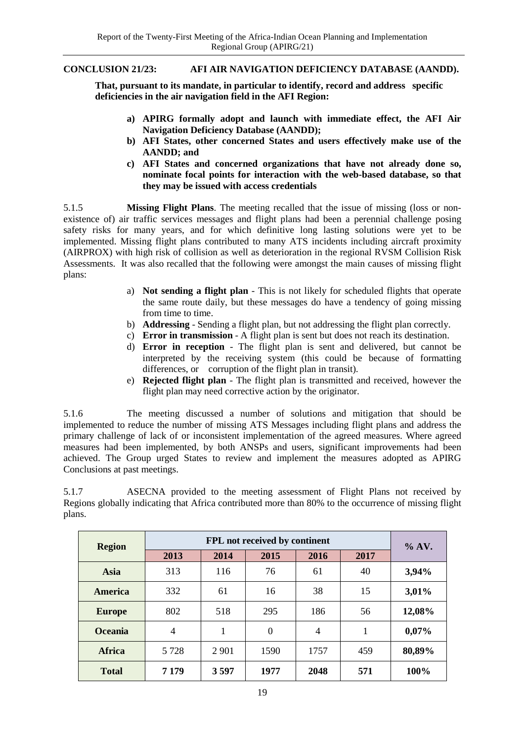#### <span id="page-26-0"></span>**CONCLUSION 21/23: AFI AIR NAVIGATION DEFICIENCY DATABASE (AANDD).**

**That, pursuant to its mandate, in particular to identify, record and address specific deficiencies in the air navigation field in the AFI Region:**

- **a) APIRG formally adopt and launch with immediate effect, the AFI Air Navigation Deficiency Database (AANDD);**
- **b) AFI States, other concerned States and users effectively make use of the AANDD; and**
- **c) AFI States and concerned organizations that have not already done so, nominate focal points for interaction with the web-based database, so that they may be issued with access credentials**

5.1.5 **Missing Flight Plans**. The meeting recalled that the issue of missing (loss or nonexistence of) air traffic services messages and flight plans had been a perennial challenge posing safety risks for many years, and for which definitive long lasting solutions were yet to be implemented. Missing flight plans contributed to many ATS incidents including aircraft proximity (AIRPROX) with high risk of collision as well as deterioration in the regional RVSM Collision Risk Assessments. It was also recalled that the following were amongst the main causes of missing flight plans:

- a) **Not sending a flight plan** This is not likely for scheduled flights that operate the same route daily, but these messages do have a tendency of going missing from time to time.
- b) **Addressing**  Sending a flight plan, but not addressing the flight plan correctly.
- c) **Error in transmission** A flight plan is sent but does not reach its destination.
- d) **Error in reception** The flight plan is sent and delivered, but cannot be interpreted by the receiving system (this could be because of formatting differences, or corruption of the flight plan in transit).
- e) **Rejected flight plan** The flight plan is transmitted and received, however the flight plan may need corrective action by the originator.

5.1.6 The meeting discussed a number of solutions and mitigation that should be implemented to reduce the number of missing ATS Messages including flight plans and address the primary challenge of lack of or inconsistent implementation of the agreed measures. Where agreed measures had been implemented, by both ANSPs and users, significant improvements had been achieved. The Group urged States to review and implement the measures adopted as APIRG Conclusions at past meetings.

5.1.7 ASECNA provided to the meeting assessment of Flight Plans not received by Regions globally indicating that Africa contributed more than 80% to the occurrence of missing flight plans.

| <b>Region</b>  | FPL not received by continent |         |                |      |      | $\%$ AV. |
|----------------|-------------------------------|---------|----------------|------|------|----------|
|                | 2013                          | 2014    | 2015           | 2016 | 2017 |          |
| Asia           | 313                           | 116     | 76             | 61   | 40   | 3,94%    |
| America        | 332                           | 61      | 16             | 38   | 15   | 3,01%    |
| <b>Europe</b>  | 802                           | 518     | 295            | 186  | 56   | 12,08%   |
| <b>Oceania</b> | $\overline{4}$                | 1       | $\overline{0}$ | 4    | 1    | $0,07\%$ |
| <b>Africa</b>  | 5 7 2 8                       | 2 9 0 1 | 1590           | 1757 | 459  | 80,89%   |
| <b>Total</b>   | 7 1 7 9                       | 3597    | 1977           | 2048 | 571  | 100%     |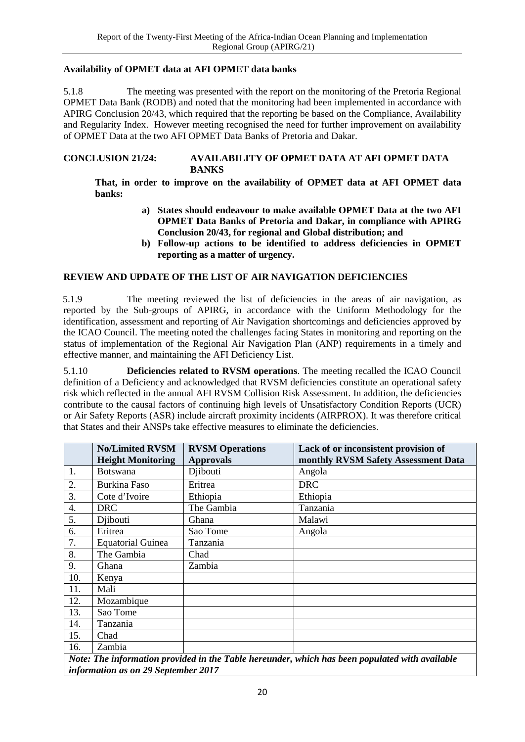#### **Availability of OPMET data at AFI OPMET data banks**

5.1.8 The meeting was presented with the report on the monitoring of the Pretoria Regional OPMET Data Bank (RODB) and noted that the monitoring had been implemented in accordance with APIRG Conclusion 20/43, which required that the reporting be based on the Compliance, Availability and Regularity Index. However meeting recognised the need for further improvement on availability of OPMET Data at the two AFI OPMET Data Banks of Pretoria and Dakar.

#### <span id="page-27-0"></span>**CONCLUSION 21/24: AVAILABILITY OF OPMET DATA AT AFI OPMET DATA BANKS**

**That, in order to improve on the availability of OPMET data at AFI OPMET data banks:** 

- <span id="page-27-1"></span>**a) States should endeavour to make available OPMET Data at the two AFI OPMET Data Banks of Pretoria and Dakar, in compliance with APIRG Conclusion 20/43, for regional and Global distribution; and**
- **b) Follow-up actions to be identified to address deficiencies in OPMET reporting as a matter of urgency.**

#### **REVIEW AND UPDATE OF THE LIST OF AIR NAVIGATION DEFICIENCIES**

5.1.9 The meeting reviewed the list of deficiencies in the areas of air navigation, as reported by the Sub-groups of APIRG, in accordance with the Uniform Methodology for the identification, assessment and reporting of Air Navigation shortcomings and deficiencies approved by the ICAO Council. The meeting noted the challenges facing States in monitoring and reporting on the status of implementation of the Regional Air Navigation Plan (ANP) requirements in a timely and effective manner, and maintaining the AFI Deficiency List.

5.1.10 **Deficiencies related to RVSM operations**. The meeting recalled the ICAO Council definition of a Deficiency and acknowledged that RVSM deficiencies constitute an operational safety risk which reflected in the annual AFI RVSM Collision Risk Assessment. In addition, the deficiencies contribute to the causal factors of continuing high levels of Unsatisfactory Condition Reports (UCR) or Air Safety Reports (ASR) include aircraft proximity incidents (AIRPROX). It was therefore critical that States and their ANSPs take effective measures to eliminate the deficiencies.

|     | <b>No/Limited RVSM</b><br><b>Height Monitoring</b> | <b>RVSM Operations</b><br><b>Approvals</b> | Lack of or inconsistent provision of<br>monthly RVSM Safety Assessment Data                   |
|-----|----------------------------------------------------|--------------------------------------------|-----------------------------------------------------------------------------------------------|
| 1.  | Botswana                                           | Djibouti                                   | Angola                                                                                        |
| 2.  | Burkina Faso                                       | Eritrea                                    | <b>DRC</b>                                                                                    |
| 3.  | Cote d'Ivoire                                      | Ethiopia                                   | Ethiopia                                                                                      |
| 4.  | <b>DRC</b>                                         | The Gambia                                 | Tanzania                                                                                      |
| 5.  | Djibouti                                           | Ghana                                      | Malawi                                                                                        |
| 6.  | Eritrea                                            | Sao Tome                                   | Angola                                                                                        |
| 7.  | <b>Equatorial Guinea</b>                           | Tanzania                                   |                                                                                               |
| 8.  | The Gambia                                         | Chad                                       |                                                                                               |
| 9.  | Ghana                                              | Zambia                                     |                                                                                               |
| 10. | Kenya                                              |                                            |                                                                                               |
| 11. | Mali                                               |                                            |                                                                                               |
| 12. | Mozambique                                         |                                            |                                                                                               |
| 13. | Sao Tome                                           |                                            |                                                                                               |
| 14. | Tanzania                                           |                                            |                                                                                               |
| 15. | Chad                                               |                                            |                                                                                               |
| 16. | Zambia                                             |                                            |                                                                                               |
|     |                                                    |                                            | Note: The information provided in the Table horounder which has been populated with quailable |

*Note: The information provided in the Table hereunder, which has been populated with available information as on 29 September 2017*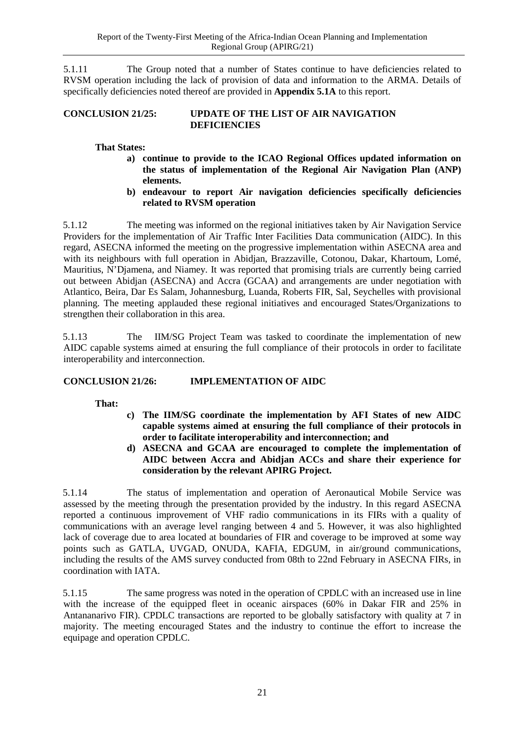5.1.11 The Group noted that a number of States continue to have deficiencies related to RVSM operation including the lack of provision of data and information to the ARMA. Details of specifically deficiencies noted thereof are provided in **Appendix 5.1A** to this report.

#### <span id="page-28-0"></span>**CONCLUSION 21/25: UPDATE OF THE LIST OF AIR NAVIGATION DEFICIENCIES**

#### **That States:**

- **a) continue to provide to the ICAO Regional Offices updated information on the status of implementation of the Regional Air Navigation Plan (ANP) elements.**
- **b) endeavour to report Air navigation deficiencies specifically deficiencies related to RVSM operation**

5.1.12 The meeting was informed on the regional initiatives taken by Air Navigation Service Providers for the implementation of Air Traffic Inter Facilities Data communication (AIDC). In this regard, ASECNA informed the meeting on the progressive implementation within ASECNA area and with its neighbours with full operation in Abidjan, Brazzaville, Cotonou, Dakar, Khartoum, Lomé, Mauritius, N'Djamena, and Niamey. It was reported that promising trials are currently being carried out between Abidjan (ASECNA) and Accra (GCAA) and arrangements are under negotiation with Atlantico, Beira, Dar Es Salam, Johannesburg, Luanda, Roberts FIR, Sal, Seychelles with provisional planning. The meeting applauded these regional initiatives and encouraged States/Organizations to strengthen their collaboration in this area.

5.1.13 The IIM/SG Project Team was tasked to coordinate the implementation of new AIDC capable systems aimed at ensuring the full compliance of their protocols in order to facilitate interoperability and interconnection.

### <span id="page-28-1"></span>**CONCLUSION 21/26: IMPLEMENTATION OF AIDC**

**That:**

- **c) The IIM/SG coordinate the implementation by AFI States of new AIDC capable systems aimed at ensuring the full compliance of their protocols in order to facilitate interoperability and interconnection; and**
- **d) ASECNA and GCAA are encouraged to complete the implementation of AIDC between Accra and Abidjan ACCs and share their experience for consideration by the relevant APIRG Project.**

5.1.14 The status of implementation and operation of Aeronautical Mobile Service was assessed by the meeting through the presentation provided by the industry. In this regard ASECNA reported a continuous improvement of VHF radio communications in its FIRs with a quality of communications with an average level ranging between 4 and 5. However, it was also highlighted lack of coverage due to area located at boundaries of FIR and coverage to be improved at some way points such as GATLA, UVGAD, ONUDA, KAFIA, EDGUM, in air/ground communications, including the results of the AMS survey conducted from 08th to 22nd February in ASECNA FIRs, in coordination with IATA.

5.1.15 The same progress was noted in the operation of CPDLC with an increased use in line with the increase of the equipped fleet in oceanic airspaces (60% in Dakar FIR and 25% in Antananarivo FIR). CPDLC transactions are reported to be globally satisfactory with quality at 7 in majority. The meeting encouraged States and the industry to continue the effort to increase the equipage and operation CPDLC.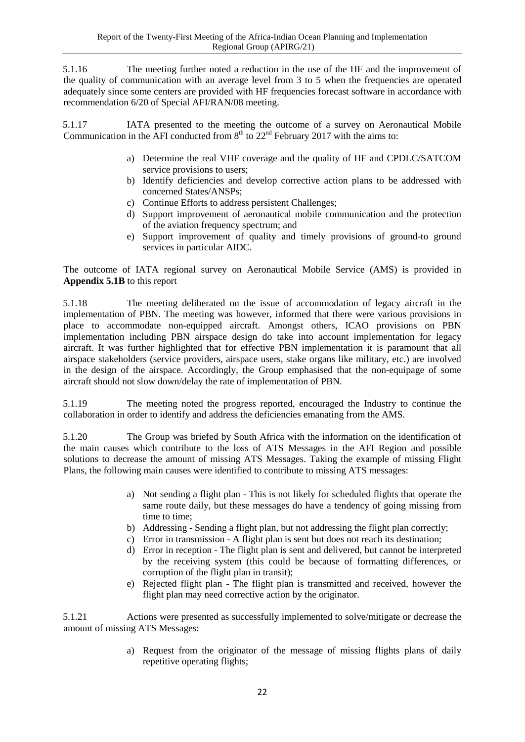5.1.16 The meeting further noted a reduction in the use of the HF and the improvement of the quality of communication with an average level from 3 to 5 when the frequencies are operated adequately since some centers are provided with HF frequencies forecast software in accordance with recommendation 6/20 of Special AFI/RAN/08 meeting.

5.1.17 IATA presented to the meeting the outcome of a survey on Aeronautical Mobile Communication in the AFI conducted from  $8<sup>th</sup>$  to  $22<sup>nd</sup>$  February 2017 with the aims to:

- a) Determine the real VHF coverage and the quality of HF and CPDLC/SATCOM service provisions to users;
- b) Identify deficiencies and develop corrective action plans to be addressed with concerned States/ANSPs;
- c) Continue Efforts to address persistent Challenges;
- d) Support improvement of aeronautical mobile communication and the protection of the aviation frequency spectrum; and
- e) Support improvement of quality and timely provisions of ground-to ground services in particular AIDC.

The outcome of IATA regional survey on Aeronautical Mobile Service (AMS) is provided in **Appendix 5.1B** to this report

5.1.18 The meeting deliberated on the issue of accommodation of legacy aircraft in the implementation of PBN. The meeting was however, informed that there were various provisions in place to accommodate non-equipped aircraft. Amongst others, ICAO provisions on PBN implementation including PBN airspace design do take into account implementation for legacy aircraft. It was further highlighted that for effective PBN implementation it is paramount that all airspace stakeholders (service providers, airspace users, stake organs like military, etc.) are involved in the design of the airspace. Accordingly, the Group emphasised that the non-equipage of some aircraft should not slow down/delay the rate of implementation of PBN.

5.1.19 The meeting noted the progress reported, encouraged the Industry to continue the collaboration in order to identify and address the deficiencies emanating from the AMS.

5.1.20 The Group was briefed by South Africa with the information on the identification of the main causes which contribute to the loss of ATS Messages in the AFI Region and possible solutions to decrease the amount of missing ATS Messages. Taking the example of missing Flight Plans, the following main causes were identified to contribute to missing ATS messages:

- a) Not sending a flight plan This is not likely for scheduled flights that operate the same route daily, but these messages do have a tendency of going missing from time to time;
- b) Addressing Sending a flight plan, but not addressing the flight plan correctly;
- c) Error in transmission A flight plan is sent but does not reach its destination;
- d) Error in reception The flight plan is sent and delivered, but cannot be interpreted by the receiving system (this could be because of formatting differences, or corruption of the flight plan in transit);
- e) Rejected flight plan The flight plan is transmitted and received, however the flight plan may need corrective action by the originator.

5.1.21 Actions were presented as successfully implemented to solve/mitigate or decrease the amount of missing ATS Messages:

> a) Request from the originator of the message of missing flights plans of daily repetitive operating flights;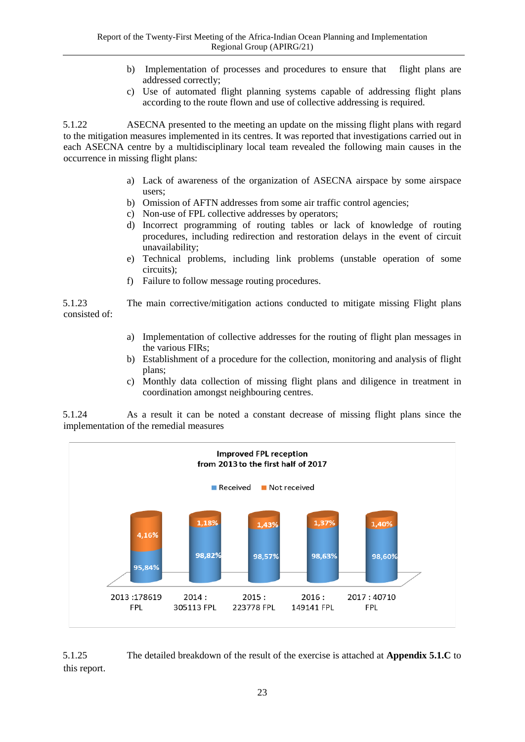- b) Implementation of processes and procedures to ensure that flight plans are addressed correctly;
- c) Use of automated flight planning systems capable of addressing flight plans according to the route flown and use of collective addressing is required.

5.1.22 ASECNA presented to the meeting an update on the missing flight plans with regard to the mitigation measures implemented in its centres. It was reported that investigations carried out in each ASECNA centre by a multidisciplinary local team revealed the following main causes in the occurrence in missing flight plans:

- a) Lack of awareness of the organization of ASECNA airspace by some airspace users;
- b) Omission of AFTN addresses from some air traffic control agencies;
- c) Non-use of FPL collective addresses by operators;
- d) Incorrect programming of routing tables or lack of knowledge of routing procedures, including redirection and restoration delays in the event of circuit unavailability;
- e) Technical problems, including link problems (unstable operation of some circuits);
- f) Failure to follow message routing procedures.

5.1.23 The main corrective/mitigation actions conducted to mitigate missing Flight plans consisted of:

- a) Implementation of collective addresses for the routing of flight plan messages in the various FIRs;
- b) Establishment of a procedure for the collection, monitoring and analysis of flight plans;
- c) Monthly data collection of missing flight plans and diligence in treatment in coordination amongst neighbouring centres.

5.1.24 As a result it can be noted a constant decrease of missing flight plans since the implementation of the remedial measures



5.1.25 The detailed breakdown of the result of the exercise is attached at **Appendix 5.1.C** to this report.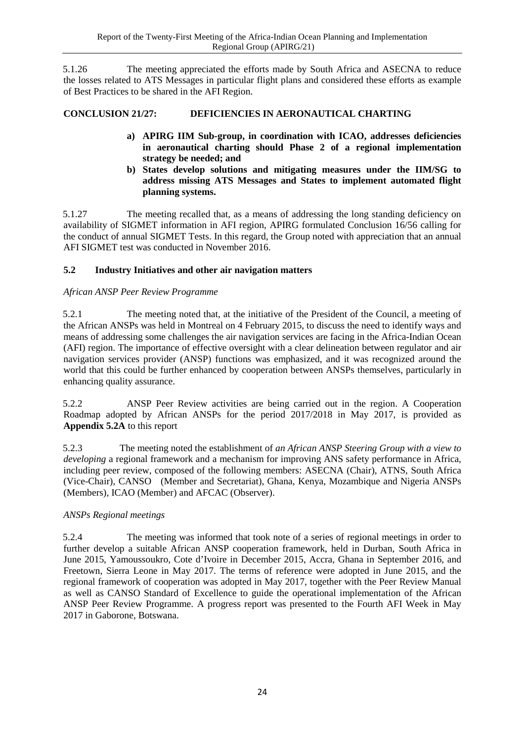5.1.26 The meeting appreciated the efforts made by South Africa and ASECNA to reduce the losses related to ATS Messages in particular flight plans and considered these efforts as example of Best Practices to be shared in the AFI Region.

# <span id="page-31-1"></span>**CONCLUSION 21/27: DEFICIENCIES IN AERONAUTICAL CHARTING**

- **a) APIRG IIM Sub-group, in coordination with ICAO, addresses deficiencies in aeronautical charting should Phase 2 of a regional implementation strategy be needed; and**
- **b) States develop solutions and mitigating measures under the IIM/SG to address missing ATS Messages and States to implement automated flight planning systems.**

5.1.27 The meeting recalled that, as a means of addressing the long standing deficiency on availability of SIGMET information in AFI region, APIRG formulated Conclusion 16/56 calling for the conduct of annual SIGMET Tests. In this regard, the Group noted with appreciation that an annual AFI SIGMET test was conducted in November 2016.

# <span id="page-31-0"></span>**5.2 Industry Initiatives and other air navigation matters**

# *African ANSP Peer Review Programme*

5.2.1 The meeting noted that, at the initiative of the President of the Council, a meeting of the African ANSPs was held in Montreal on 4 February 2015, to discuss the need to identify ways and means of addressing some challenges the air navigation services are facing in the Africa-Indian Ocean (AFI) region. The importance of effective oversight with a clear delineation between regulator and air navigation services provider (ANSP) functions was emphasized, and it was recognized around the world that this could be further enhanced by cooperation between ANSPs themselves, particularly in enhancing quality assurance.

5.2.2 ANSP Peer Review activities are being carried out in the region. A Cooperation Roadmap adopted by African ANSPs for the period 2017/2018 in May 2017, is provided as **Appendix 5.2A** to this report

5.2.3 The meeting noted the establishment of *an African ANSP Steering Group with a view to developing* a regional framework and a mechanism for improving ANS safety performance in Africa, including peer review, composed of the following members: ASECNA (Chair), ATNS, South Africa (Vice-Chair), CANSO (Member and Secretariat), Ghana, Kenya, Mozambique and Nigeria ANSPs (Members), ICAO (Member) and AFCAC (Observer).

### *ANSPs Regional meetings*

5.2.4 The meeting was informed that took note of a series of regional meetings in order to further develop a suitable African ANSP cooperation framework, held in Durban, South Africa in June 2015, Yamoussoukro, Cote d'Ivoire in December 2015, Accra, Ghana in September 2016, and Freetown, Sierra Leone in May 2017. The terms of reference were adopted in June 2015, and the regional framework of cooperation was adopted in May 2017, together with the Peer Review Manual as well as CANSO Standard of Excellence to guide the operational implementation of the African ANSP Peer Review Programme. A progress report was presented to the Fourth AFI Week in May 2017 in Gaborone, Botswana.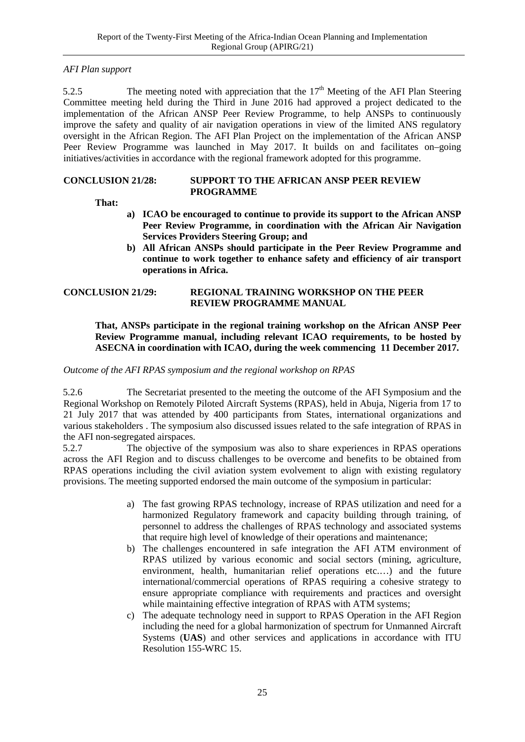#### *AFI Plan support*

5.2.5 The meeting noted with appreciation that the  $17<sup>th</sup>$  Meeting of the AFI Plan Steering Committee meeting held during the Third in June 2016 had approved a project dedicated to the implementation of the African ANSP Peer Review Programme, to help ANSPs to continuously improve the safety and quality of air navigation operations in view of the limited ANS regulatory oversight in the African Region. The AFI Plan Project on the implementation of the African ANSP Peer Review Programme was launched in May 2017. It builds on and facilitates on–going initiatives/activities in accordance with the regional framework adopted for this programme.

#### <span id="page-32-0"></span>**CONCLUSION 21/28: SUPPORT TO THE AFRICAN ANSP PEER REVIEW PROGRAMME**

**That:**

- <span id="page-32-1"></span>**a) ICAO be encouraged to continue to provide its support to the African ANSP Peer Review Programme, in coordination with the African Air Navigation Services Providers Steering Group; and**
- <span id="page-32-3"></span>**b) All African ANSPs should participate in the Peer Review Programme and continue to work together to enhance safety and efficiency of air transport operations in Africa.**

#### <span id="page-32-2"></span>**CONCLUSION 21/29: REGIONAL TRAINING WORKSHOP ON THE PEER REVIEW PROGRAMME MANUAL**

#### **That, ANSPs participate in the regional training workshop on the African ANSP Peer Review Programme manual, including relevant ICAO requirements, to be hosted by ASECNA in coordination with ICAO, during the week commencing 11 December 2017.**

*Outcome of the AFI RPAS symposium and the regional workshop on RPAS* 

5.2.6 The Secretariat presented to the meeting the outcome of the AFI Symposium and the Regional Workshop on Remotely Piloted Aircraft Systems (RPAS), held in Abuja, Nigeria from 17 to 21 July 2017 that was attended by 400 participants from States, international organizations and various stakeholders . The symposium also discussed issues related to the safe integration of RPAS in the AFI non-segregated airspaces.

5.2.7 The objective of the symposium was also to share experiences in RPAS operations across the AFI Region and to discuss challenges to be overcome and benefits to be obtained from RPAS operations including the civil aviation system evolvement to align with existing regulatory provisions. The meeting supported endorsed the main outcome of the symposium in particular:

- a) The fast growing RPAS technology, increase of RPAS utilization and need for a harmonized Regulatory framework and capacity building through training, of personnel to address the challenges of RPAS technology and associated systems that require high level of knowledge of their operations and maintenance;
- b) The challenges encountered in safe integration the AFI ATM environment of RPAS utilized by various economic and social sectors (mining, agriculture, environment, health, humanitarian relief operations etc.…) and the future international/commercial operations of RPAS requiring a cohesive strategy to ensure appropriate compliance with requirements and practices and oversight while maintaining effective integration of RPAS with ATM systems;
- c) The adequate technology need in support to RPAS Operation in the AFI Region including the need for a global harmonization of spectrum for Unmanned Aircraft Systems (**UAS**) and other services and applications in accordance with ITU Resolution 155-WRC 15.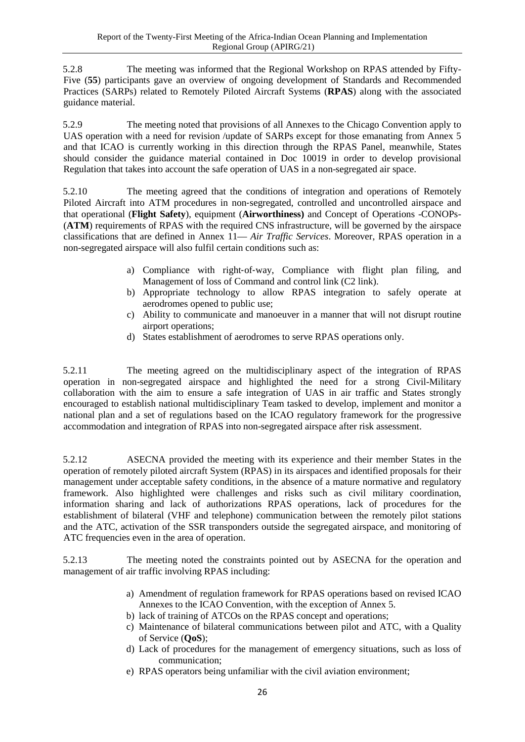5.2.8 The meeting was informed that the Regional Workshop on RPAS attended by Fifty-Five (**55**) participants gave an overview of ongoing development of Standards and Recommended Practices (SARPs) related to Remotely Piloted Aircraft Systems (**RPAS**) along with the associated guidance material.

5.2.9 The meeting noted that provisions of all Annexes to the Chicago Convention apply to UAS operation with a need for revision /update of SARPs except for those emanating from Annex 5 and that ICAO is currently working in this direction through the RPAS Panel, meanwhile, States should consider the guidance material contained in Doc 10019 in order to develop provisional Regulation that takes into account the safe operation of UAS in a non-segregated air space.

5.2.10 The meeting agreed that the conditions of integration and operations of Remotely Piloted Aircraft into ATM procedures in non‐segregated, controlled and uncontrolled airspace and that operational (**Flight Safety**), equipment (**Airworthiness)** and Concept of Operations -CONOPs- (**ATM**) requirements of RPAS with the required CNS infrastructure, will be governed by the airspace classifications that are defined in Annex 11— *Air Traffic Services*. Moreover, RPAS operation in a non-segregated airspace will also fulfil certain conditions such as:

- a) Compliance with right‐of‐way, Compliance with flight plan filing, and Management of loss of Command and control link (C2 link).
- b) Appropriate technology to allow RPAS integration to safely operate at aerodromes opened to public use;
- c) Ability to communicate and manoeuver in a manner that will not disrupt routine airport operations;
- d) States establishment of aerodromes to serve RPAS operations only.

5.2.11 The meeting agreed on the multidisciplinary aspect of the integration of RPAS operation in non-segregated airspace and highlighted the need for a strong Civil-Military collaboration with the aim to ensure a safe integration of UAS in air traffic and States strongly encouraged to establish national multidisciplinary Team tasked to develop, implement and monitor a national plan and a set of regulations based on the ICAO regulatory framework for the progressive accommodation and integration of RPAS into non-segregated airspace after risk assessment.

5.2.12 ASECNA provided the meeting with its experience and their member States in the operation of remotely piloted aircraft System (RPAS) in its airspaces and identified proposals for their management under acceptable safety conditions, in the absence of a mature normative and regulatory framework. Also highlighted were challenges and risks such as civil military coordination, information sharing and lack of authorizations RPAS operations, lack of procedures for the establishment of bilateral (VHF and telephone) communication between the remotely pilot stations and the ATC, activation of the SSR transponders outside the segregated airspace, and monitoring of ATC frequencies even in the area of operation.

5.2.13 The meeting noted the constraints pointed out by ASECNA for the operation and management of air traffic involving RPAS including:

- a) Amendment of regulation framework for RPAS operations based on revised ICAO Annexes to the ICAO Convention, with the exception of Annex 5.
- b) lack of training of ATCOs on the RPAS concept and operations;
- c) Maintenance of bilateral communications between pilot and ATC, with a Quality of Service (**QoS**);
- d) Lack of procedures for the management of emergency situations, such as loss of communication;
- e) RPAS operators being unfamiliar with the civil aviation environment;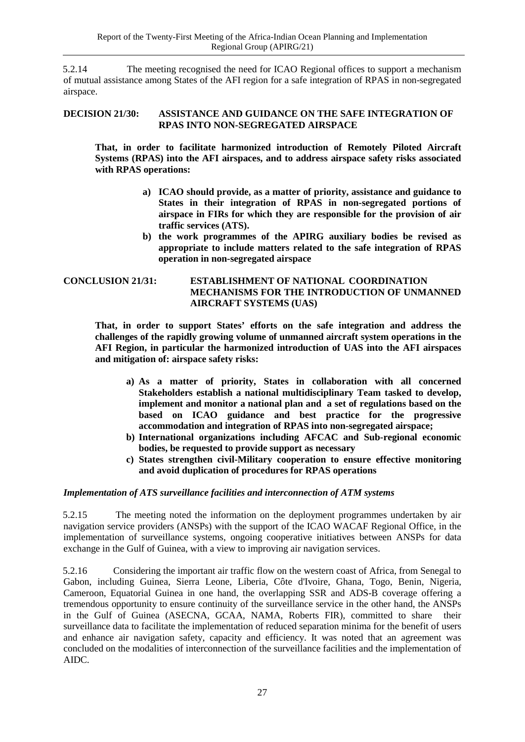5.2.14 The meeting recognised the need for ICAO Regional offices to support a mechanism of mutual assistance among States of the AFI region for a safe integration of RPAS in non-segregated airspace.

#### <span id="page-34-2"></span>**DECISION 21/30: ASSISTANCE AND GUIDANCE ON THE SAFE INTEGRATION OF RPAS INTO NON-SEGREGATED AIRSPACE**

<span id="page-34-3"></span>**That, in order to facilitate harmonized introduction of Remotely Piloted Aircraft Systems (RPAS) into the AFI airspaces, and to address airspace safety risks associated with RPAS operations:**

- **a) ICAO should provide, as a matter of priority, assistance and guidance to States in their integration of RPAS in non-segregated portions of airspace in FIRs for which they are responsible for the provision of air traffic services (ATS).**
- <span id="page-34-1"></span>**b) the work programmes of the APIRG auxiliary bodies be revised as appropriate to include matters related to the safe integration of RPAS operation in non-segregated airspace**

#### <span id="page-34-0"></span>**CONCLUSION 21/31: ESTABLISHMENT OF NATIONAL COORDINATION MECHANISMS FOR THE INTRODUCTION OF UNMANNED AIRCRAFT SYSTEMS (UAS)**

**That, in order to support States' efforts on the safe integration and address the challenges of the rapidly growing volume of unmanned aircraft system operations in the AFI Region, in particular the harmonized introduction of UAS into the AFI airspaces and mitigation of: airspace safety risks:**

- **a) As a matter of priority, States in collaboration with all concerned Stakeholders establish a national multidisciplinary Team tasked to develop, implement and monitor a national plan and a set of regulations based on the based on ICAO guidance and best practice for the progressive accommodation and integration of RPAS into non-segregated airspace;**
- **b) International organizations including AFCAC and Sub-regional economic bodies, be requested to provide support as necessary**
- **c) States strengthen civil-Military cooperation to ensure effective monitoring and avoid duplication of procedures for RPAS operations**

### *Implementation of ATS surveillance facilities and interconnection of ATM systems*

5.2.15 The meeting noted the information on the deployment programmes undertaken by air navigation service providers (ANSPs) with the support of the ICAO WACAF Regional Office, in the implementation of surveillance systems, ongoing cooperative initiatives between ANSPs for data exchange in the Gulf of Guinea, with a view to improving air navigation services.

5.2.16 Considering the important air traffic flow on the western coast of Africa, from Senegal to Gabon, including Guinea, Sierra Leone, Liberia, Côte d'Ivoire, Ghana, Togo, Benin, Nigeria, Cameroon, Equatorial Guinea in one hand, the overlapping SSR and ADS-B coverage offering a tremendous opportunity to ensure continuity of the surveillance service in the other hand, the ANSPs in the Gulf of Guinea (ASECNA, GCAA, NAMA, Roberts FIR), committed to share their surveillance data to facilitate the implementation of reduced separation minima for the benefit of users and enhance air navigation safety, capacity and efficiency. It was noted that an agreement was concluded on the modalities of interconnection of the surveillance facilities and the implementation of AIDC.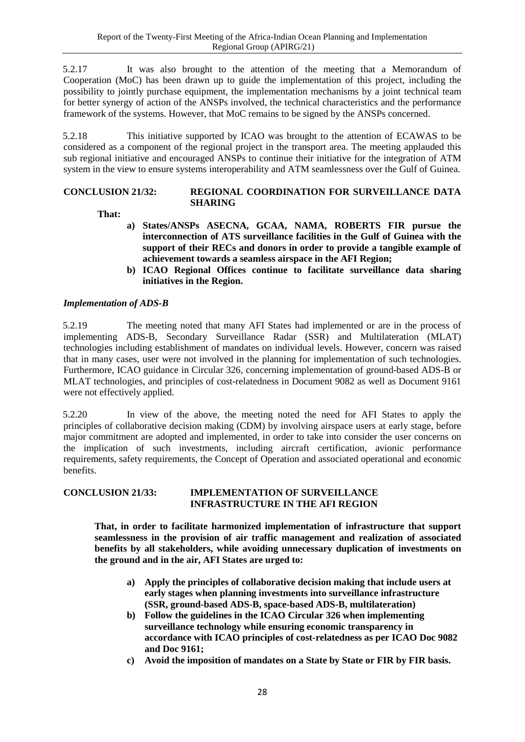5.2.17 It was also brought to the attention of the meeting that a Memorandum of Cooperation (MoC) has been drawn up to guide the implementation of this project, including the possibility to jointly purchase equipment, the implementation mechanisms by a joint technical team for better synergy of action of the ANSPs involved, the technical characteristics and the performance framework of the systems. However, that MoC remains to be signed by the ANSPs concerned.

5.2.18 This initiative supported by ICAO was brought to the attention of ECAWAS to be considered as a component of the regional project in the transport area. The meeting applauded this sub regional initiative and encouraged ANSPs to continue their initiative for the integration of ATM system in the view to ensure systems interoperability and ATM seamlessness over the Gulf of Guinea.

#### <span id="page-35-0"></span>**CONCLUSION 21/32: REGIONAL COORDINATION FOR SURVEILLANCE DATA SHARING**

**That:**

- **a) States/ANSPs ASECNA, GCAA, NAMA, ROBERTS FIR pursue the interconnection of ATS surveillance facilities in the Gulf of Guinea with the support of their RECs and donors in order to provide a tangible example of achievement towards a seamless airspace in the AFI Region;**
- **b) ICAO Regional Offices continue to facilitate surveillance data sharing initiatives in the Region.**

### *Implementation of ADS-B*

5.2.19 The meeting noted that many AFI States had implemented or are in the process of implementing ADS-B, Secondary Surveillance Radar (SSR) and Multilateration (MLAT) technologies including establishment of mandates on individual levels. However, concern was raised that in many cases, user were not involved in the planning for implementation of such technologies. Furthermore, ICAO guidance in Circular 326, concerning implementation of ground-based ADS-B or MLAT technologies, and principles of cost-relatedness in Document 9082 as well as Document 9161 were not effectively applied.

5.2.20 In view of the above, the meeting noted the need for AFI States to apply the principles of collaborative decision making (CDM) by involving airspace users at early stage, before major commitment are adopted and implemented, in order to take into consider the user concerns on the implication of such investments, including aircraft certification, avionic performance requirements, safety requirements, the Concept of Operation and associated operational and economic benefits.

#### **CONCLUSION 21/33: IMPLEMENTATION OF SURVEILLANCE INFRASTRUCTURE IN THE AFI REGION**

**That, in order to facilitate harmonized implementation of infrastructure that support seamlessness in the provision of air traffic management and realization of associated benefits by all stakeholders, while avoiding unnecessary duplication of investments on the ground and in the air, AFI States are urged to:**

- **a) Apply the principles of collaborative decision making that include users at early stages when planning investments into surveillance infrastructure (SSR, ground-based ADS-B, space-based ADS-B, multilateration)**
- **b) Follow the guidelines in the ICAO Circular 326 when implementing surveillance technology while ensuring economic transparency in accordance with ICAO principles of cost-relatedness as per ICAO Doc 9082 and Doc 9161;**
- **c) Avoid the imposition of mandates on a State by State or FIR by FIR basis.**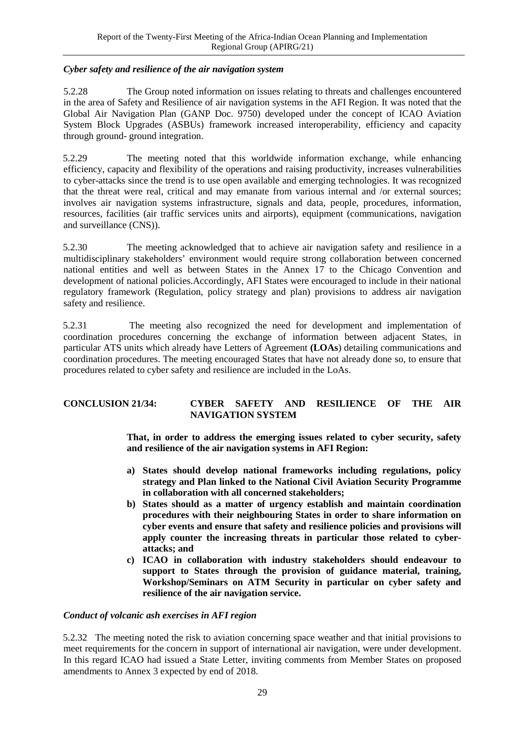### *Cyber safety and resilience of the air navigation system*

5.2.28 The Group noted information on issues relating to threats and challenges encountered in the area of Safety and Resilience of air navigation systems in the AFI Region. It was noted that the Global Air Navigation Plan (GANP Doc. 9750) developed under the concept of ICAO Aviation System Block Upgrades (ASBUs) framework increased interoperability, efficiency and capacity through ground- ground integration.

5.2.29 The meeting noted that this worldwide information exchange, while enhancing efficiency, capacity and flexibility of the operations and raising productivity, increases vulnerabilities to cyber-attacks since the trend is to use open available and emerging technologies. It was recognized that the threat were real, critical and may emanate from various internal and /or external sources; involves air navigation systems infrastructure, signals and data, people, procedures, information, resources, facilities (air traffic services units and airports), equipment (communications, navigation and surveillance (CNS)).

5.2.30 The meeting acknowledged that to achieve air navigation safety and resilience in a multidisciplinary stakeholders' environment would require strong collaboration between concerned national entities and well as between States in the Annex 17 to the Chicago Convention and development of national policies.Accordingly, AFI States were encouraged to include in their national regulatory framework (Regulation, policy strategy and plan) provisions to address air navigation safety and resilience.

5.2.31 The meeting also recognized the need for development and implementation of coordination procedures concerning the exchange of information between adjacent States, in particular ATS units which already have Letters of Agreement **(LOAs**) detailing communications and coordination procedures. The meeting encouraged States that have not already done so, to ensure that procedures related to cyber safety and resilience are included in the LoAs.

### <span id="page-36-0"></span>**CONCLUSION 21/34: CYBER SAFETY AND RESILIENCE OF THE AIR NAVIGATION SYSTEM**

**That, in order to address the emerging issues related to cyber security, safety and resilience of the air navigation systems in AFI Region:**

- **a) States should develop national frameworks including regulations, policy strategy and Plan linked to the National Civil Aviation Security Programme in collaboration with all concerned stakeholders;**
- **b) States should as a matter of urgency establish and maintain coordination procedures with their neighbouring States in order to share information on cyber events and ensure that safety and resilience policies and provisions will apply counter the increasing threats in particular those related to cyberattacks; and**
- **c) ICAO in collaboration with industry stakeholders should endeavour to support to States through the provision of guidance material, training, Workshop/Seminars on ATM Security in particular on cyber safety and resilience of the air navigation service.**

#### *Conduct of volcanic ash exercises in AFI region*

5.2.32 The meeting noted the risk to aviation concerning space weather and that initial provisions to meet requirements for the concern in support of international air navigation, were under development. In this regard ICAO had issued a State Letter, inviting comments from Member States on proposed amendments to Annex 3 expected by end of 2018.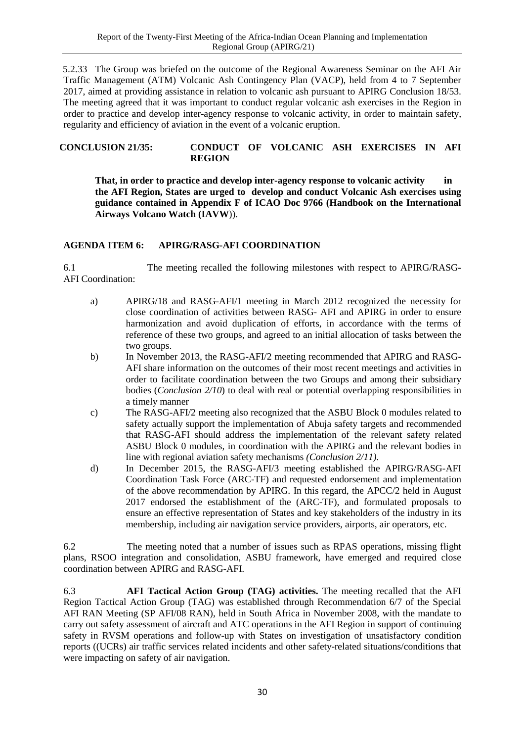5.2.33 The Group was briefed on the outcome of the Regional Awareness Seminar on the AFI Air Traffic Management (ATM) Volcanic Ash Contingency Plan (VACP), held from 4 to 7 September 2017, aimed at providing assistance in relation to volcanic ash pursuant to APIRG Conclusion 18/53. The meeting agreed that it was important to conduct regular volcanic ash exercises in the Region in order to practice and develop inter-agency response to volcanic activity, in order to maintain safety, regularity and efficiency of aviation in the event of a volcanic eruption.

#### <span id="page-37-1"></span>**CONCLUSION 21/35: CONDUCT OF VOLCANIC ASH EXERCISES IN AFI REGION**

**That, in order to practice and develop inter-agency response to volcanic activity in the AFI Region, States are urged to develop and conduct Volcanic Ash exercises using guidance contained in Appendix F of ICAO Doc 9766 (Handbook on the International Airways Volcano Watch (IAVW**)).

# <span id="page-37-0"></span>**AGENDA ITEM 6: APIRG/RASG-AFI COORDINATION**

6.1 The meeting recalled the following milestones with respect to APIRG/RASG-AFI Coordination:

- a) APIRG/18 and RASG-AFI/1 meeting in March 2012 recognized the necessity for close coordination of activities between RASG- AFI and APIRG in order to ensure harmonization and avoid duplication of efforts, in accordance with the terms of reference of these two groups, and agreed to an initial allocation of tasks between the two groups.
- b) In November 2013, the RASG-AFI/2 meeting recommended that APIRG and RASG-AFI share information on the outcomes of their most recent meetings and activities in order to facilitate coordination between the two Groups and among their subsidiary bodies (*Conclusion 2/10*) to deal with real or potential overlapping responsibilities in a timely manner
- c) The RASG-AFI/2 meeting also recognized that the ASBU Block 0 modules related to safety actually support the implementation of Abuja safety targets and recommended that RASG-AFI should address the implementation of the relevant safety related ASBU Block 0 modules, in coordination with the APIRG and the relevant bodies in line with regional aviation safety mechanisms *(Conclusion 2/11).*
- d) In December 2015, the RASG-AFI/3 meeting established the APIRG/RASG-AFI Coordination Task Force (ARC-TF) and requested endorsement and implementation of the above recommendation by APIRG. In this regard, the APCC/2 held in August 2017 endorsed the establishment of the (ARC-TF), and formulated proposals to ensure an effective representation of States and key stakeholders of the industry in its membership, including air navigation service providers, airports, air operators, etc.

6.2 The meeting noted that a number of issues such as RPAS operations, missing flight plans, RSOO integration and consolidation, ASBU framework, have emerged and required close coordination between APIRG and RASG-AFI.

6.3 **AFI Tactical Action Group (TAG) activities.** The meeting recalled that the AFI Region Tactical Action Group (TAG) was established through Recommendation 6/7 of the Special AFI RAN Meeting (SP AFI/08 RAN), held in South Africa in November 2008, with the mandate to carry out safety assessment of aircraft and ATC operations in the AFI Region in support of continuing safety in RVSM operations and follow-up with States on investigation of unsatisfactory condition reports ((UCRs) air traffic services related incidents and other safety-related situations/conditions that were impacting on safety of air navigation.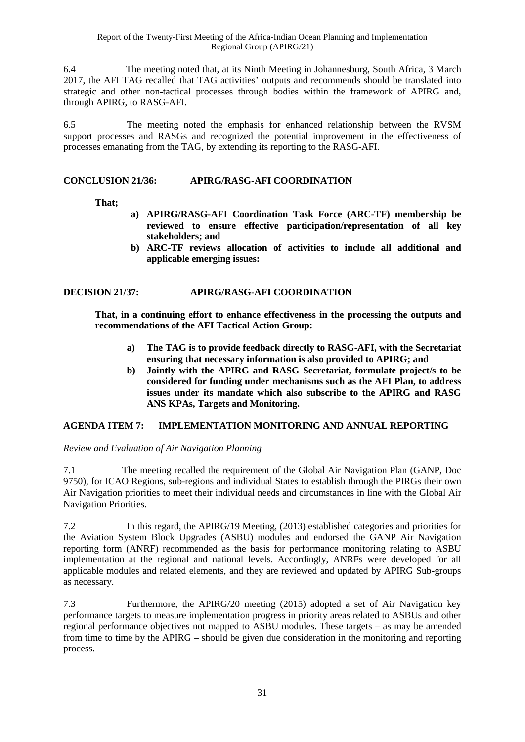6.4 The meeting noted that, at its Ninth Meeting in Johannesburg, South Africa, 3 March 2017, the AFI TAG recalled that TAG activities' outputs and recommends should be translated into strategic and other non-tactical processes through bodies within the framework of APIRG and, through APIRG, to RASG-AFI.

6.5 The meeting noted the emphasis for enhanced relationship between the RVSM support processes and RASGs and recognized the potential improvement in the effectiveness of processes emanating from the TAG, by extending its reporting to the RASG-AFI.

### <span id="page-38-1"></span>**CONCLUSION 21/36: APIRG/RASG-AFI COORDINATION**

#### **That;**

- **a) APIRG/RASG-AFI Coordination Task Force (ARC-TF) membership be reviewed to ensure effective participation/representation of all key stakeholders; and**
- **b) ARC-TF reviews allocation of activities to include all additional and applicable emerging issues:**

#### <span id="page-38-2"></span>**DECISION 21/37: APIRG/RASG-AFI COORDINATION**

**That, in a continuing effort to enhance effectiveness in the processing the outputs and recommendations of the AFI Tactical Action Group:**

- **a) The TAG is to provide feedback directly to RASG-AFI, with the Secretariat ensuring that necessary information is also provided to APIRG; and**
- **b) Jointly with the APIRG and RASG Secretariat, formulate project/s to be considered for funding under mechanisms such as the AFI Plan, to address issues under its mandate which also subscribe to the APIRG and RASG ANS KPAs, Targets and Monitoring.**

#### <span id="page-38-0"></span>**AGENDA ITEM 7: IMPLEMENTATION MONITORING AND ANNUAL REPORTING**

#### *Review and Evaluation of Air Navigation Planning*

7.1 The meeting recalled the requirement of the Global Air Navigation Plan (GANP, Doc 9750), for ICAO Regions, sub-regions and individual States to establish through the PIRGs their own Air Navigation priorities to meet their individual needs and circumstances in line with the Global Air Navigation Priorities.

7.2 In this regard, the APIRG/19 Meeting, (2013) established categories and priorities for the Aviation System Block Upgrades (ASBU) modules and endorsed the GANP Air Navigation reporting form (ANRF) recommended as the basis for performance monitoring relating to ASBU implementation at the regional and national levels. Accordingly, ANRFs were developed for all applicable modules and related elements, and they are reviewed and updated by APIRG Sub-groups as necessary.

7.3 Furthermore, the APIRG/20 meeting (2015) adopted a set of Air Navigation key performance targets to measure implementation progress in priority areas related to ASBUs and other regional performance objectives not mapped to ASBU modules. These targets – as may be amended from time to time by the APIRG – should be given due consideration in the monitoring and reporting process.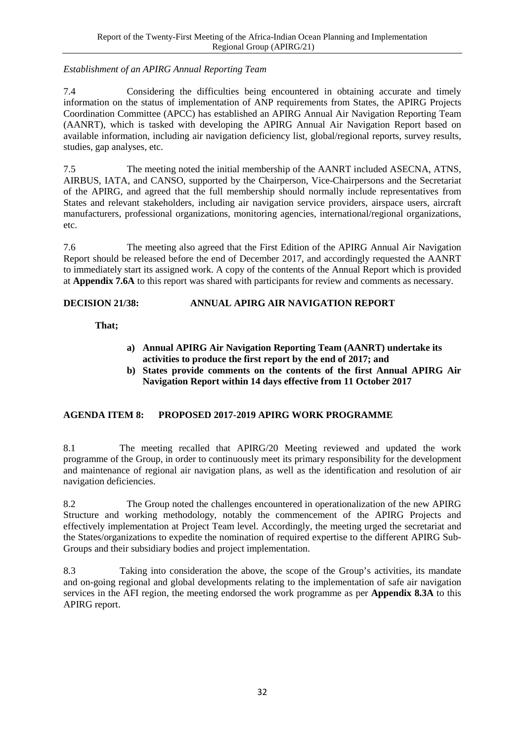### *Establishment of an APIRG Annual Reporting Team*

7.4 Considering the difficulties being encountered in obtaining accurate and timely information on the status of implementation of ANP requirements from States, the APIRG Projects Coordination Committee (APCC) has established an APIRG Annual Air Navigation Reporting Team (AANRT), which is tasked with developing the APIRG Annual Air Navigation Report based on available information, including air navigation deficiency list, global/regional reports, survey results, studies, gap analyses, etc.

7.5 The meeting noted the initial membership of the AANRT included ASECNA, ATNS, AIRBUS, IATA, and CANSO, supported by the Chairperson, Vice-Chairpersons and the Secretariat of the APIRG, and agreed that the full membership should normally include representatives from States and relevant stakeholders, including air navigation service providers, airspace users, aircraft manufacturers, professional organizations, monitoring agencies, international/regional organizations, etc.

7.6 The meeting also agreed that the First Edition of the APIRG Annual Air Navigation Report should be released before the end of December 2017, and accordingly requested the AANRT to immediately start its assigned work. A copy of the contents of the Annual Report which is provided at **Appendix 7.6A** to this report was shared with participants for review and comments as necessary.

# <span id="page-39-1"></span>**DECISION 21/38: ANNUAL APIRG AIR NAVIGATION REPORT**

# **That;**

- **a) Annual APIRG Air Navigation Reporting Team (AANRT) undertake its activities to produce the first report by the end of 2017; and**
- **b) States provide comments on the contents of the first Annual APIRG Air Navigation Report within 14 days effective from 11 October 2017**

# <span id="page-39-0"></span>**AGENDA ITEM 8: PROPOSED 2017-2019 APIRG WORK PROGRAMME**

8.1 The meeting recalled that APIRG/20 Meeting reviewed and updated the work programme of the Group, in order to continuously meet its primary responsibility for the development and maintenance of regional air navigation plans, as well as the identification and resolution of air navigation deficiencies.

8.2 The Group noted the challenges encountered in operationalization of the new APIRG Structure and working methodology, notably the commencement of the APIRG Projects and effectively implementation at Project Team level. Accordingly, the meeting urged the secretariat and the States/organizations to expedite the nomination of required expertise to the different APIRG Sub-Groups and their subsidiary bodies and project implementation.

8.3 Taking into consideration the above, the scope of the Group's activities, its mandate and on-going regional and global developments relating to the implementation of safe air navigation services in the AFI region, the meeting endorsed the work programme as per **Appendix 8.3A** to this APIRG report.